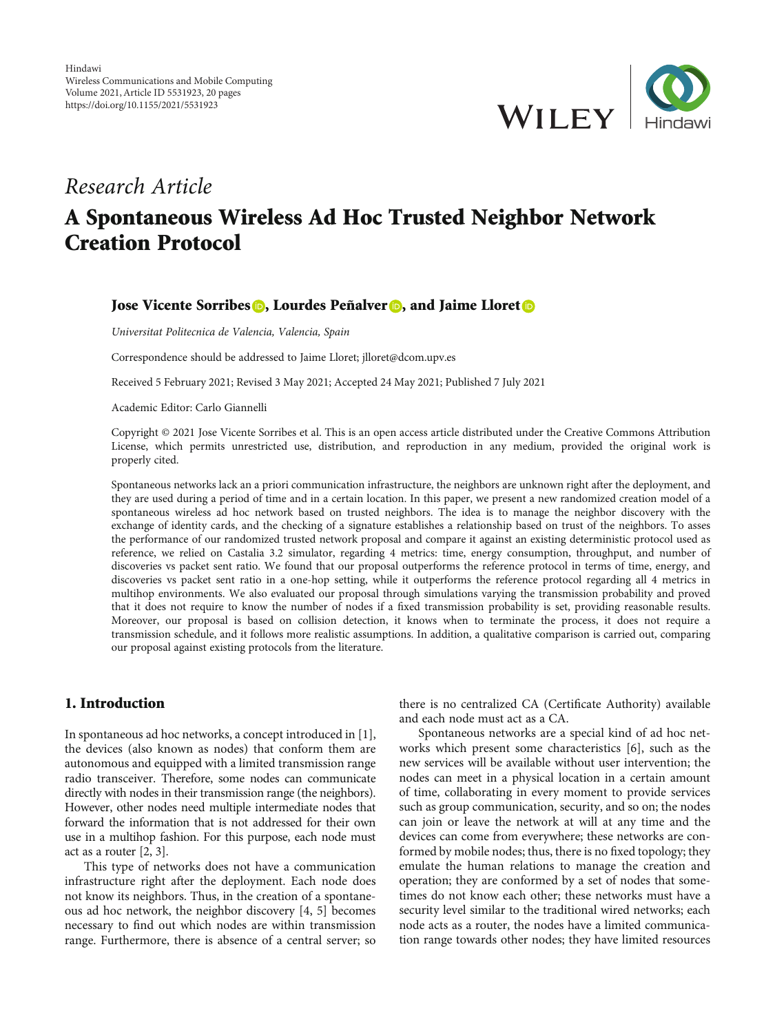

# Research Article A Spontaneous Wireless Ad Hoc Trusted Neighbor Network Creation Protocol

## Jose Vicente Sorribes **D**, Lourdes Peñalver **D**, and Jaime Lloret **D**

Universitat Politecnica de Valencia, Valencia, Spain

Correspondence should be addressed to Jaime Lloret; jlloret@dcom.upv.es

Received 5 February 2021; Revised 3 May 2021; Accepted 24 May 2021; Published 7 July 2021

Academic Editor: Carlo Giannelli

Copyright © 2021 Jose Vicente Sorribes et al. This is an open access article distributed under the [Creative Commons Attribution](https://creativecommons.org/licenses/by/4.0/) [License,](https://creativecommons.org/licenses/by/4.0/) which permits unrestricted use, distribution, and reproduction in any medium, provided the original work is properly cited.

Spontaneous networks lack an a priori communication infrastructure, the neighbors are unknown right after the deployment, and they are used during a period of time and in a certain location. In this paper, we present a new randomized creation model of a spontaneous wireless ad hoc network based on trusted neighbors. The idea is to manage the neighbor discovery with the exchange of identity cards, and the checking of a signature establishes a relationship based on trust of the neighbors. To asses the performance of our randomized trusted network proposal and compare it against an existing deterministic protocol used as reference, we relied on Castalia 3.2 simulator, regarding 4 metrics: time, energy consumption, throughput, and number of discoveries vs packet sent ratio. We found that our proposal outperforms the reference protocol in terms of time, energy, and discoveries vs packet sent ratio in a one-hop setting, while it outperforms the reference protocol regarding all 4 metrics in multihop environments. We also evaluated our proposal through simulations varying the transmission probability and proved that it does not require to know the number of nodes if a fixed transmission probability is set, providing reasonable results. Moreover, our proposal is based on collision detection, it knows when to terminate the process, it does not require a transmission schedule, and it follows more realistic assumptions. In addition, a qualitative comparison is carried out, comparing our proposal against existing protocols from the literature.

## 1. Introduction

In spontaneous ad hoc networks, a concept introduced in [[1](#page-18-0)], the devices (also known as nodes) that conform them are autonomous and equipped with a limited transmission range radio transceiver. Therefore, some nodes can communicate directly with nodes in their transmission range (the neighbors). However, other nodes need multiple intermediate nodes that forward the information that is not addressed for their own use in a multihop fashion. For this purpose, each node must act as a router [\[2, 3](#page-18-0)].

This type of networks does not have a communication infrastructure right after the deployment. Each node does not know its neighbors. Thus, in the creation of a spontaneous ad hoc network, the neighbor discovery [[4, 5\]](#page-18-0) becomes necessary to find out which nodes are within transmission range. Furthermore, there is absence of a central server; so there is no centralized CA (Certificate Authority) available and each node must act as a CA.

Spontaneous networks are a special kind of ad hoc networks which present some characteristics [\[6](#page-18-0)], such as the new services will be available without user intervention; the nodes can meet in a physical location in a certain amount of time, collaborating in every moment to provide services such as group communication, security, and so on; the nodes can join or leave the network at will at any time and the devices can come from everywhere; these networks are conformed by mobile nodes; thus, there is no fixed topology; they emulate the human relations to manage the creation and operation; they are conformed by a set of nodes that sometimes do not know each other; these networks must have a security level similar to the traditional wired networks; each node acts as a router, the nodes have a limited communication range towards other nodes; they have limited resources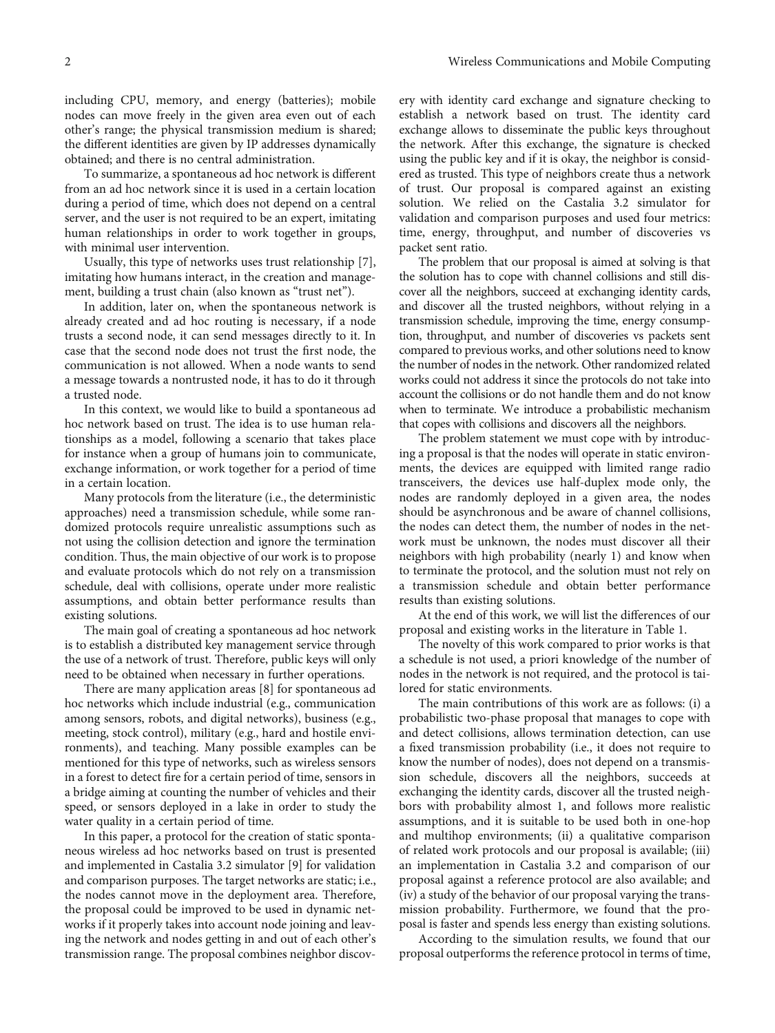including CPU, memory, and energy (batteries); mobile nodes can move freely in the given area even out of each other's range; the physical transmission medium is shared; the different identities are given by IP addresses dynamically obtained; and there is no central administration.

To summarize, a spontaneous ad hoc network is different from an ad hoc network since it is used in a certain location during a period of time, which does not depend on a central server, and the user is not required to be an expert, imitating human relationships in order to work together in groups, with minimal user intervention.

Usually, this type of networks uses trust relationship [[7](#page-18-0)], imitating how humans interact, in the creation and management, building a trust chain (also known as "trust net").

In addition, later on, when the spontaneous network is already created and ad hoc routing is necessary, if a node trusts a second node, it can send messages directly to it. In case that the second node does not trust the first node, the communication is not allowed. When a node wants to send a message towards a nontrusted node, it has to do it through a trusted node.

In this context, we would like to build a spontaneous ad hoc network based on trust. The idea is to use human relationships as a model, following a scenario that takes place for instance when a group of humans join to communicate, exchange information, or work together for a period of time in a certain location.

Many protocols from the literature (i.e., the deterministic approaches) need a transmission schedule, while some randomized protocols require unrealistic assumptions such as not using the collision detection and ignore the termination condition. Thus, the main objective of our work is to propose and evaluate protocols which do not rely on a transmission schedule, deal with collisions, operate under more realistic assumptions, and obtain better performance results than existing solutions.

The main goal of creating a spontaneous ad hoc network is to establish a distributed key management service through the use of a network of trust. Therefore, public keys will only need to be obtained when necessary in further operations.

There are many application areas [[8\]](#page-18-0) for spontaneous ad hoc networks which include industrial (e.g., communication among sensors, robots, and digital networks), business (e.g., meeting, stock control), military (e.g., hard and hostile environments), and teaching. Many possible examples can be mentioned for this type of networks, such as wireless sensors in a forest to detect fire for a certain period of time, sensors in a bridge aiming at counting the number of vehicles and their speed, or sensors deployed in a lake in order to study the water quality in a certain period of time.

In this paper, a protocol for the creation of static spontaneous wireless ad hoc networks based on trust is presented and implemented in Castalia 3.2 simulator [\[9](#page-18-0)] for validation and comparison purposes. The target networks are static; i.e., the nodes cannot move in the deployment area. Therefore, the proposal could be improved to be used in dynamic networks if it properly takes into account node joining and leaving the network and nodes getting in and out of each other's transmission range. The proposal combines neighbor discovery with identity card exchange and signature checking to establish a network based on trust. The identity card exchange allows to disseminate the public keys throughout the network. After this exchange, the signature is checked using the public key and if it is okay, the neighbor is considered as trusted. This type of neighbors create thus a network of trust. Our proposal is compared against an existing solution. We relied on the Castalia 3.2 simulator for validation and comparison purposes and used four metrics: time, energy, throughput, and number of discoveries vs packet sent ratio.

The problem that our proposal is aimed at solving is that the solution has to cope with channel collisions and still discover all the neighbors, succeed at exchanging identity cards, and discover all the trusted neighbors, without relying in a transmission schedule, improving the time, energy consumption, throughput, and number of discoveries vs packets sent compared to previous works, and other solutions need to know the number of nodes in the network. Other randomized related works could not address it since the protocols do not take into account the collisions or do not handle them and do not know when to terminate. We introduce a probabilistic mechanism that copes with collisions and discovers all the neighbors.

The problem statement we must cope with by introducing a proposal is that the nodes will operate in static environments, the devices are equipped with limited range radio transceivers, the devices use half-duplex mode only, the nodes are randomly deployed in a given area, the nodes should be asynchronous and be aware of channel collisions, the nodes can detect them, the number of nodes in the network must be unknown, the nodes must discover all their neighbors with high probability (nearly 1) and know when to terminate the protocol, and the solution must not rely on a transmission schedule and obtain better performance results than existing solutions.

At the end of this work, we will list the differences of our proposal and existing works in the literature in Table [1.](#page-2-0)

The novelty of this work compared to prior works is that a schedule is not used, a priori knowledge of the number of nodes in the network is not required, and the protocol is tailored for static environments.

The main contributions of this work are as follows: (i) a probabilistic two-phase proposal that manages to cope with and detect collisions, allows termination detection, can use a fixed transmission probability (i.e., it does not require to know the number of nodes), does not depend on a transmission schedule, discovers all the neighbors, succeeds at exchanging the identity cards, discover all the trusted neighbors with probability almost 1, and follows more realistic assumptions, and it is suitable to be used both in one-hop and multihop environments; (ii) a qualitative comparison of related work protocols and our proposal is available; (iii) an implementation in Castalia 3.2 and comparison of our proposal against a reference protocol are also available; and (iv) a study of the behavior of our proposal varying the transmission probability. Furthermore, we found that the proposal is faster and spends less energy than existing solutions.

According to the simulation results, we found that our proposal outperforms the reference protocol in terms of time,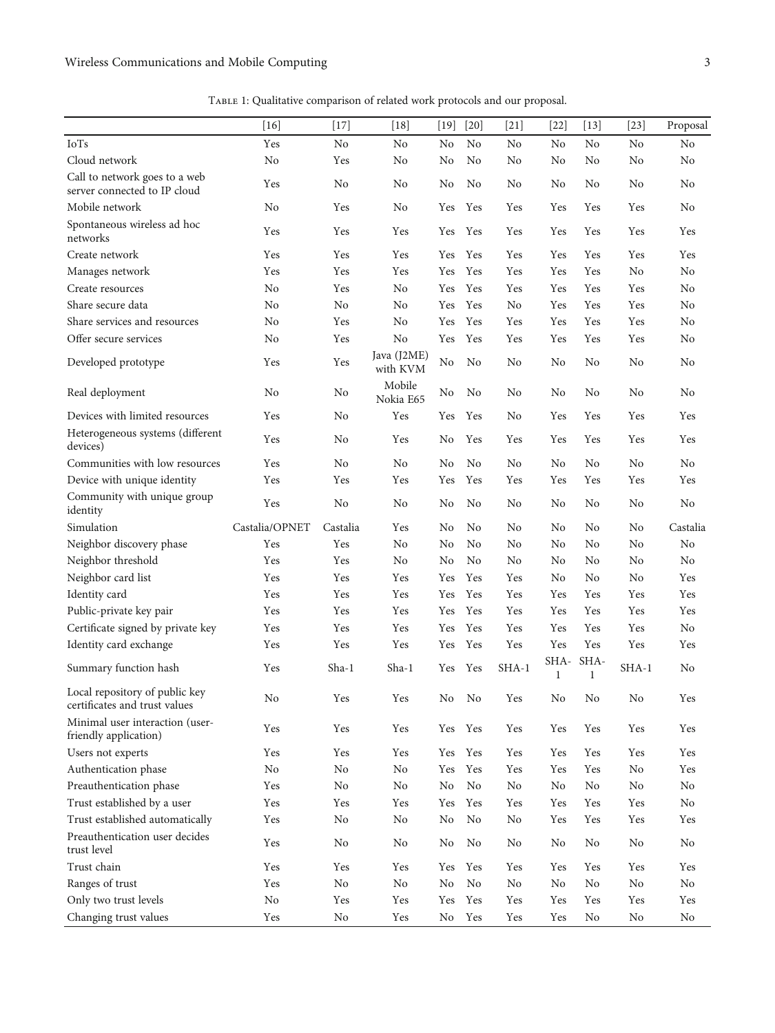<span id="page-2-0"></span>

|                                                                 | $[16]$         | $[17]$         | $[18]$                  | $[19]$               | $[20]$         | $[21]$         | $[22]$    | $[13]$               | $[23]$         | Proposal       |
|-----------------------------------------------------------------|----------------|----------------|-------------------------|----------------------|----------------|----------------|-----------|----------------------|----------------|----------------|
| <b>IoTs</b>                                                     | Yes            | No             | No                      | No                   | N <sub>o</sub> | No             | No        | No                   | No             | No             |
| Cloud network                                                   | N <sub>o</sub> | Yes            | No                      | No                   | No             | No             | No        | N <sub>o</sub>       | No             | No             |
| Call to network goes to a web<br>server connected to IP cloud   | Yes            | No             | No                      | No                   | N <sub>o</sub> | No             | No        | No                   | No             | No             |
| Mobile network                                                  | N <sub>o</sub> | Yes            | No                      | Yes                  | Yes            | Yes            | Yes       | Yes                  | Yes            | No             |
| Spontaneous wireless ad hoc<br>networks                         | Yes            | Yes            | Yes                     | Yes                  | Yes            | Yes            | Yes       | Yes                  | Yes            | Yes            |
| Create network                                                  | Yes            | Yes            | Yes                     | Yes                  | Yes            | Yes            | Yes       | Yes                  | Yes            | Yes            |
| Manages network                                                 | Yes            | Yes            | Yes                     | Yes                  | Yes            | Yes            | Yes       | Yes                  | No             | N <sub>o</sub> |
| Create resources                                                | No             | Yes            | N <sub>o</sub>          | Yes                  | Yes            | Yes            | Yes       | Yes                  | Yes            | N <sub>o</sub> |
| Share secure data                                               | N <sub>o</sub> | N <sub>o</sub> | N <sub>o</sub>          | Yes                  | Yes            | N <sub>o</sub> | Yes       | Yes                  | Yes            | N <sub>o</sub> |
| Share services and resources                                    | N <sub>o</sub> | Yes            | N <sub>o</sub>          | Yes                  | Yes            | Yes            | Yes       | Yes                  | Yes            | N <sub>o</sub> |
| Offer secure services                                           | N <sub>o</sub> | Yes            | N <sub>o</sub>          | Yes                  | Yes            | Yes            | Yes       | Yes                  | Yes            | No             |
| Developed prototype                                             | Yes            | Yes            | Java (J2ME)<br>with KVM | No                   | No             | No             | No        | No                   | No             | No             |
| Real deployment                                                 | No             | No             | Mobile<br>Nokia E65     | No                   | No             | No             | No        | No                   | N <sub>o</sub> | No             |
| Devices with limited resources                                  | Yes            | No             | Yes                     | Yes                  | Yes            | No             | Yes       | Yes                  | Yes            | Yes            |
| Heterogeneous systems (different<br>devices)                    | Yes            | No             | Yes                     | No                   | Yes            | Yes            | Yes       | Yes                  | Yes            | Yes            |
| Communities with low resources                                  | Yes            | No             | N <sub>o</sub>          | N <sub>o</sub>       | No             | No             | No        | N <sub>o</sub>       | No             | No             |
| Device with unique identity                                     | Yes            | Yes            | Yes                     | Yes                  | Yes            | Yes            | Yes       | Yes                  | Yes            | Yes            |
| Community with unique group<br>identity                         | Yes            | No             | N <sub>o</sub>          | No                   | N <sub>o</sub> | No             | No        | No                   | No             | N <sub>o</sub> |
| Simulation                                                      | Castalia/OPNET | Castalia       | Yes                     | N <sub>o</sub>       | No             | No             | No        | No                   | No             | Castalia       |
| Neighbor discovery phase                                        | Yes            | Yes            | N <sub>o</sub>          | N <sub>o</sub>       | No             | No             | No        | No                   | No             | No             |
| Neighbor threshold                                              | Yes            | Yes            | No                      | No                   | N <sub>0</sub> | No             | No        | No                   | No             | N <sub>o</sub> |
| Neighbor card list                                              | Yes            | Yes            | Yes                     | Yes                  | Yes            | Yes            | No        | N <sub>o</sub>       | No             | Yes            |
| Identity card                                                   | Yes            | Yes            | Yes                     | Yes                  | Yes            | Yes            | Yes       | Yes                  | Yes            | Yes            |
| Public-private key pair                                         | Yes            | Yes            | Yes                     | Yes                  | Yes            | Yes            | Yes       | Yes                  | Yes            | Yes            |
| Certificate signed by private key                               | Yes            | Yes            | Yes                     | $\operatorname{Yes}$ | Yes            | Yes            | Yes       | Yes                  | Yes            | No             |
| Identity card exchange                                          | Yes            | Yes            | Yes                     | Yes                  | Yes            | Yes            | Yes       | Yes                  | Yes            | Yes            |
| Summary function hash                                           | Yes            | Sha-1          | Sha-1                   | Yes                  | Yes            | SHA-1          | SHA-<br>1 | SHA-<br>$\mathbf{1}$ | SHA-1          | No             |
| Local repository of public key<br>certificates and trust values | No             | Yes            | Yes                     | No                   | No             | Yes            | No        | No                   | No             | Yes            |
| Minimal user interaction (user-<br>friendly application)        | Yes            | Yes            | Yes                     |                      | Yes Yes        | Yes            | Yes       | Yes                  | Yes            | Yes            |
| Users not experts                                               | Yes            | Yes            | Yes                     | Yes                  | Yes            | Yes            | Yes       | Yes                  | Yes            | Yes            |
| Authentication phase                                            | $\rm No$       | No             | No                      | Yes                  | Yes            | Yes            | Yes       | Yes                  | No             | Yes            |
| Preauthentication phase                                         | Yes            | No             | No                      | $\rm No$             | No             | No             | No        | No                   | No             | No             |
| Trust established by a user                                     | Yes            | Yes            | Yes                     | $\operatorname{Yes}$ | Yes            | Yes            | Yes       | Yes                  | Yes            | $\rm No$       |
| Trust established automatically                                 | Yes            | No             | No                      | $\rm No$             | No             | No             | Yes       | Yes                  | Yes            | Yes            |
| Preauthentication user decides<br>trust level                   | Yes            | No             | No                      | No                   | No             | No             | No        | No                   | No             | No             |
| Trust chain                                                     | Yes            | Yes            | Yes                     | Yes                  | Yes            | Yes            | Yes       | Yes                  | Yes            | Yes            |
| Ranges of trust                                                 | Yes            | No             | No                      | $\rm No$             | No             | No             | No        | No                   | $\rm No$       | No             |
| Only two trust levels                                           | No             | Yes            | Yes                     | Yes                  | Yes            | Yes            | Yes       | Yes                  | Yes            | Yes            |
| Changing trust values                                           | Yes            | No             | Yes                     | No                   | Yes            | Yes            | Yes       | No                   | No             | No             |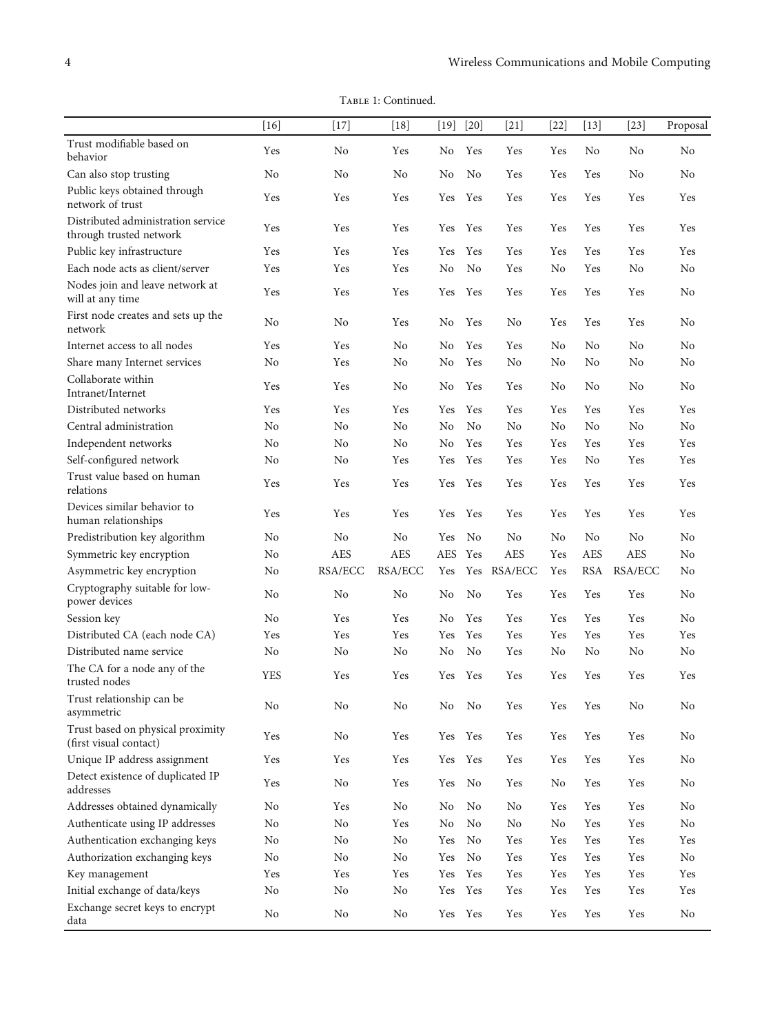TABLE 1: Continued.

|                                                               | $[16]$         | $[17]$         | $[18]$     | $[19]$         | $[20]$         | $[21]$         | $[22]$         | $[13]$         | $[23]$         | Proposal       |
|---------------------------------------------------------------|----------------|----------------|------------|----------------|----------------|----------------|----------------|----------------|----------------|----------------|
| Trust modifiable based on<br>behavior                         | Yes            | No             | Yes        | N <sub>0</sub> | Yes            | Yes            | Yes            | No             | N <sub>o</sub> | N <sub>0</sub> |
| Can also stop trusting                                        | No             | No             | No         | No             | No             | Yes            | Yes            | Yes            | N <sub>o</sub> | No             |
| Public keys obtained through<br>network of trust              | Yes            | Yes            | Yes        | Yes            | Yes            | Yes            | Yes            | Yes            | Yes            | Yes            |
| Distributed administration service<br>through trusted network | Yes            | Yes            | Yes        | <b>Yes</b>     | Yes            | Yes            | Yes            | Yes            | Yes            | Yes            |
| Public key infrastructure                                     | Yes            | Yes            | Yes        | Yes            | Yes            | Yes            | Yes            | Yes            | Yes            | Yes            |
| Each node acts as client/server                               | Yes            | Yes            | Yes        | No             | N <sub>o</sub> | Yes            | No             | Yes            | N <sub>o</sub> | N <sub>o</sub> |
| Nodes join and leave network at<br>will at any time           | Yes            | Yes            | Yes        | Yes            | Yes            | Yes            | Yes            | Yes            | Yes            | No             |
| First node creates and sets up the<br>network                 | No             | No             | Yes        | No             | Yes            | No             | Yes            | Yes            | Yes            | No             |
| Internet access to all nodes                                  | Yes            | Yes            | No         | No             | Yes            | Yes            | No             | No             | No             | N <sub>o</sub> |
| Share many Internet services                                  | N <sub>o</sub> | Yes            | No         | No             | Yes            | No             | No             | No             | No             | N <sub>o</sub> |
| Collaborate within                                            | Yes            | Yes            | No         | No             | Yes            | Yes            | No             | No             | No             | N <sub>o</sub> |
| Intranet/Internet                                             |                |                |            |                |                |                |                |                |                |                |
| Distributed networks                                          | Yes            | Yes            | Yes        | Yes            | Yes            | Yes            | Yes            | Yes            | Yes            | Yes            |
| Central administration                                        | N <sub>o</sub> | No             | No         | No             | N <sub>o</sub> | N <sub>o</sub> | N <sub>o</sub> | N <sub>o</sub> | N <sub>o</sub> | N <sub>o</sub> |
| Independent networks                                          | No             | No             | No         | No             | Yes            | Yes            | Yes            | Yes            | Yes            | Yes            |
| Self-configured network                                       | No             | N <sub>o</sub> | Yes        | Yes            | Yes            | Yes            | Yes            | N <sub>o</sub> | Yes            | Yes            |
| Trust value based on human<br>relations                       | Yes            | Yes            | Yes        | Yes            | Yes            | Yes            | Yes            | Yes            | Yes            | Yes            |
| Devices similar behavior to<br>human relationships            | Yes            | Yes            | Yes        | Yes            | Yes            | Yes            | Yes            | Yes            | Yes            | Yes            |
| Predistribution key algorithm                                 | N <sub>o</sub> | No             | No         | Yes            | No             | No             | N <sub>0</sub> | N <sub>0</sub> | N <sub>o</sub> | No             |
| Symmetric key encryption                                      | N <sub>o</sub> | <b>AES</b>     | <b>AES</b> | <b>AES</b>     | Yes            | <b>AES</b>     | Yes            | <b>AES</b>     | <b>AES</b>     | No             |
| Asymmetric key encryption                                     | No             | RSA/ECC        | RSA/ECC    | Yes            |                | Yes RSA/ECC    | Yes            | <b>RSA</b>     | RSA/ECC        | No             |
| Cryptography suitable for low-<br>power devices               | No             | N <sub>o</sub> | No         | No             | N <sub>o</sub> | Yes            | Yes            | Yes            | Yes            | No             |
| Session key                                                   | N <sub>o</sub> | Yes            | Yes        | No             | Yes            | Yes            | Yes            | Yes            | Yes            | No             |
| Distributed CA (each node CA)                                 | Yes            | Yes            | Yes        | Yes            | Yes            | Yes            | Yes            | Yes            | Yes            | Yes            |
| Distributed name service                                      | No             | No             | No         | No.            | No             | Yes            | No             | No             | No             | No             |
| The CA for a node any of the<br>trusted nodes                 | YES            | Yes            | Yes        | <b>Yes</b>     | Yes            | Yes            | <b>Yes</b>     | Yes            | Yes            | Yes            |
| Trust relationship can be<br>asymmetric                       | No             | No             | No         | No             | No             | Yes            | Yes            | Yes            | No             | No             |
| Trust based on physical proximity<br>(first visual contact)   | Yes            | No             | Yes        | Yes            | Yes            | Yes            | Yes            | Yes            | Yes            | No             |
| Unique IP address assignment                                  | Yes            | Yes            | Yes        | Yes            | Yes            | Yes            | Yes            | Yes            | Yes            | No             |
| Detect existence of duplicated IP<br>addresses                | Yes            | No             | Yes        | Yes            | No             | Yes            | No             | Yes            | Yes            | No             |
| Addresses obtained dynamically                                | No             | Yes            | No         | No             | No             | No             | Yes            | Yes            | Yes            | No             |
| Authenticate using IP addresses                               | No             | No             | Yes        | $\rm No$       | No             | No             | No             | Yes            | Yes            | No             |
| Authentication exchanging keys                                | No             | No             | No         | Yes            | No             | Yes            | Yes            | Yes            | Yes            | Yes            |
| Authorization exchanging keys                                 | N <sub>o</sub> | No             | No         | Yes            | No             | Yes            | Yes            | Yes            | Yes            | No             |
| Key management                                                | Yes            | Yes            | Yes        | Yes            | Yes            | Yes            | Yes            | Yes            | Yes            | Yes            |
| Initial exchange of data/keys                                 | No             | No             | No         | Yes            | Yes            | Yes            | Yes            | Yes            | Yes            | Yes            |
| Exchange secret keys to encrypt<br>data                       | No             | $\rm No$       | $\rm No$   | Yes            | Yes            | Yes            | Yes            | Yes            | Yes            | No             |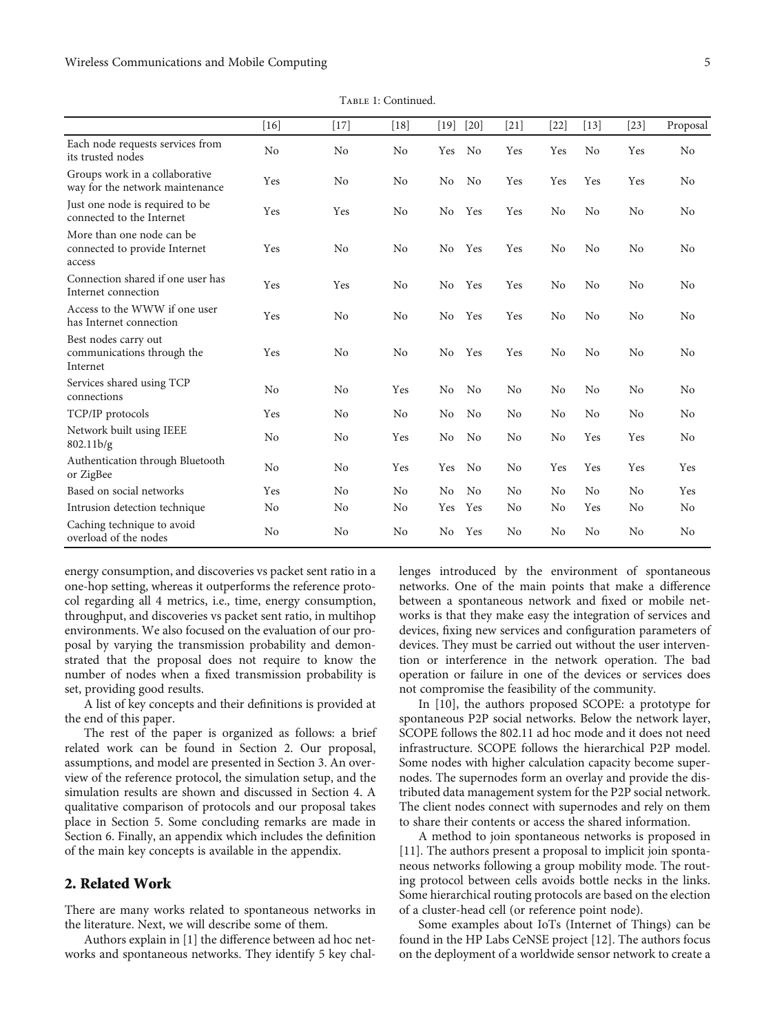Table 1: Continued.

|                                                                      | $[16]$         | $[17]$ | $[18]$         | $[19]$         | $[20]$         | $[21]$ | [22]           | $[13]$         | $[23]$         | Proposal |
|----------------------------------------------------------------------|----------------|--------|----------------|----------------|----------------|--------|----------------|----------------|----------------|----------|
| Each node requests services from<br>its trusted nodes                | N <sub>o</sub> | No     | N <sub>o</sub> | Yes            | N <sub>0</sub> | Yes    | Yes            | No             | Yes            | No       |
| Groups work in a collaborative<br>way for the network maintenance    | Yes            | No     | No             | N <sub>0</sub> | N <sub>0</sub> | Yes    | Yes            | Yes            | Yes            | No       |
| Just one node is required to be<br>connected to the Internet         | Yes            | Yes    | N <sub>o</sub> | No             | Yes            | Yes    | No             | No             | No             | No       |
| More than one node can be<br>connected to provide Internet<br>access | Yes            | No     | N <sub>o</sub> | No             | Yes            | Yes    | N <sub>0</sub> | No             | No             | No       |
| Connection shared if one user has<br>Internet connection             | Yes            | Yes    | No             | No.            | Yes            | Yes    | No             | No             | No             | No       |
| Access to the WWW if one user<br>has Internet connection             | Yes            | No     | No             | No.            | Yes            | Yes    | No             | No             | N <sub>o</sub> | No       |
| Best nodes carry out<br>communications through the<br>Internet       | Yes            | No     | No             | No.            | Yes            | Yes    | No             | No             | No             | No       |
| Services shared using TCP<br>connections                             | N <sub>0</sub> | No     | Yes            | No             | N <sub>0</sub> | No     | No             | No             | No             | No       |
| TCP/IP protocols                                                     | Yes            | No     | N <sub>o</sub> | No             | N <sub>0</sub> | No     | No             | No             | No             | No       |
| Network built using IEEE<br>802.11 <sub>b/g</sub>                    | No             | No     | Yes            | No             | No             | No     | No             | Yes            | Yes            | No       |
| Authentication through Bluetooth<br>or ZigBee                        | No             | No     | Yes            | Yes            | N <sub>o</sub> | No     | Yes            | Yes            | Yes            | Yes      |
| Based on social networks                                             | Yes            | No     | N <sub>0</sub> | No             | N <sub>0</sub> | No     | No             | N <sub>0</sub> | No             | Yes      |
| Intrusion detection technique                                        | No             | No     | N <sub>o</sub> | Yes            | Yes            | No     | No             | Yes            | No             | No       |
| Caching technique to avoid<br>overload of the nodes                  | No             | No     | No             | N <sub>0</sub> | Yes            | No     | No             | No             | No             | No       |

energy consumption, and discoveries vs packet sent ratio in a one-hop setting, whereas it outperforms the reference protocol regarding all 4 metrics, i.e., time, energy consumption, throughput, and discoveries vs packet sent ratio, in multihop environments. We also focused on the evaluation of our proposal by varying the transmission probability and demonstrated that the proposal does not require to know the number of nodes when a fixed transmission probability is set, providing good results.

A list of key concepts and their definitions is provided at the end of this paper.

The rest of the paper is organized as follows: a brief related work can be found in Section 2. Our proposal, assumptions, and model are presented in Section [3.](#page-7-0) An overview of the reference protocol, the simulation setup, and the simulation results are shown and discussed in Section [4.](#page-10-0) A qualitative comparison of protocols and our proposal takes place in Section [5](#page-15-0). Some concluding remarks are made in Section [6](#page-17-0). Finally, an appendix which includes the definition of the main key concepts is available in the appendix.

#### 2. Related Work

There are many works related to spontaneous networks in the literature. Next, we will describe some of them.

Authors explain in [[1\]](#page-18-0) the difference between ad hoc networks and spontaneous networks. They identify 5 key challenges introduced by the environment of spontaneous networks. One of the main points that make a difference between a spontaneous network and fixed or mobile networks is that they make easy the integration of services and devices, fixing new services and configuration parameters of devices. They must be carried out without the user intervention or interference in the network operation. The bad operation or failure in one of the devices or services does not compromise the feasibility of the community.

In [\[10\]](#page-18-0), the authors proposed SCOPE: a prototype for spontaneous P2P social networks. Below the network layer, SCOPE follows the 802.11 ad hoc mode and it does not need infrastructure. SCOPE follows the hierarchical P2P model. Some nodes with higher calculation capacity become supernodes. The supernodes form an overlay and provide the distributed data management system for the P2P social network. The client nodes connect with supernodes and rely on them to share their contents or access the shared information.

A method to join spontaneous networks is proposed in [\[11\]](#page-18-0). The authors present a proposal to implicit join spontaneous networks following a group mobility mode. The routing protocol between cells avoids bottle necks in the links. Some hierarchical routing protocols are based on the election of a cluster-head cell (or reference point node).

Some examples about IoTs (Internet of Things) can be found in the HP Labs CeNSE project [[12](#page-18-0)]. The authors focus on the deployment of a worldwide sensor network to create a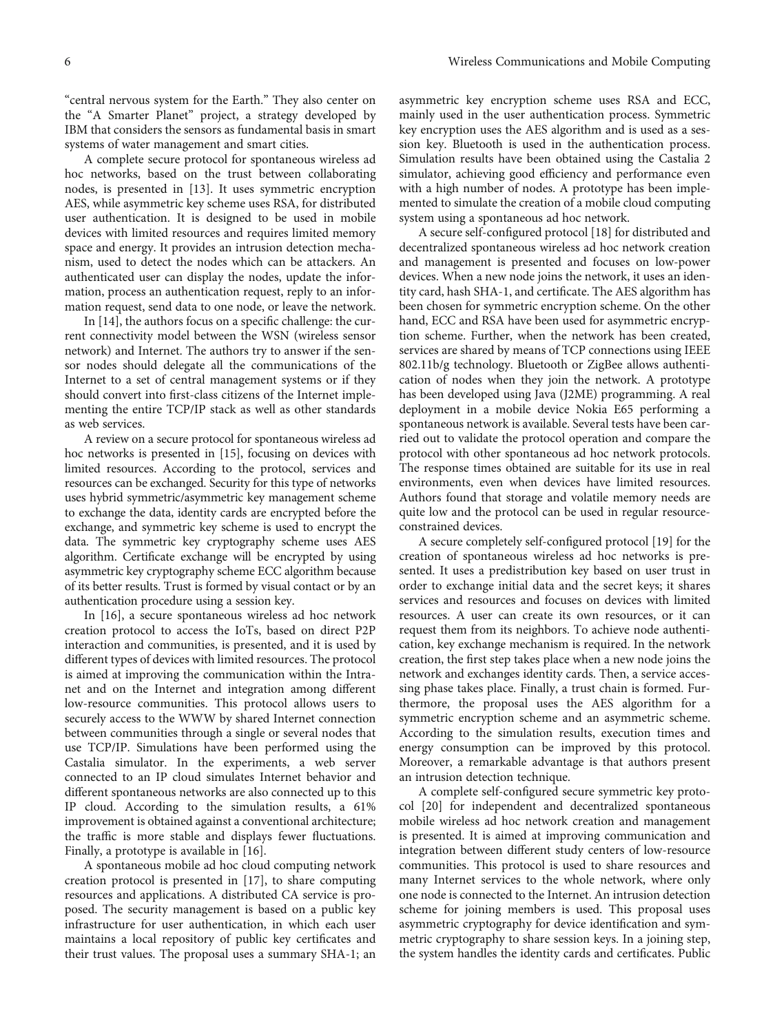"central nervous system for the Earth." They also center on the "A Smarter Planet" project, a strategy developed by IBM that considers the sensors as fundamental basis in smart systems of water management and smart cities.

A complete secure protocol for spontaneous wireless ad hoc networks, based on the trust between collaborating nodes, is presented in [[13](#page-19-0)]. It uses symmetric encryption AES, while asymmetric key scheme uses RSA, for distributed user authentication. It is designed to be used in mobile devices with limited resources and requires limited memory space and energy. It provides an intrusion detection mechanism, used to detect the nodes which can be attackers. An authenticated user can display the nodes, update the information, process an authentication request, reply to an information request, send data to one node, or leave the network.

In [\[14\]](#page-19-0), the authors focus on a specific challenge: the current connectivity model between the WSN (wireless sensor network) and Internet. The authors try to answer if the sensor nodes should delegate all the communications of the Internet to a set of central management systems or if they should convert into first-class citizens of the Internet implementing the entire TCP/IP stack as well as other standards as web services.

A review on a secure protocol for spontaneous wireless ad hoc networks is presented in [\[15\]](#page-19-0), focusing on devices with limited resources. According to the protocol, services and resources can be exchanged. Security for this type of networks uses hybrid symmetric/asymmetric key management scheme to exchange the data, identity cards are encrypted before the exchange, and symmetric key scheme is used to encrypt the data. The symmetric key cryptography scheme uses AES algorithm. Certificate exchange will be encrypted by using asymmetric key cryptography scheme ECC algorithm because of its better results. Trust is formed by visual contact or by an authentication procedure using a session key.

In [\[16\]](#page-19-0), a secure spontaneous wireless ad hoc network creation protocol to access the IoTs, based on direct P2P interaction and communities, is presented, and it is used by different types of devices with limited resources. The protocol is aimed at improving the communication within the Intranet and on the Internet and integration among different low-resource communities. This protocol allows users to securely access to the WWW by shared Internet connection between communities through a single or several nodes that use TCP/IP. Simulations have been performed using the Castalia simulator. In the experiments, a web server connected to an IP cloud simulates Internet behavior and different spontaneous networks are also connected up to this IP cloud. According to the simulation results, a 61% improvement is obtained against a conventional architecture; the traffic is more stable and displays fewer fluctuations. Finally, a prototype is available in [\[16\]](#page-19-0).

A spontaneous mobile ad hoc cloud computing network creation protocol is presented in [[17](#page-19-0)], to share computing resources and applications. A distributed CA service is proposed. The security management is based on a public key infrastructure for user authentication, in which each user maintains a local repository of public key certificates and their trust values. The proposal uses a summary SHA-1; an

asymmetric key encryption scheme uses RSA and ECC, mainly used in the user authentication process. Symmetric key encryption uses the AES algorithm and is used as a session key. Bluetooth is used in the authentication process. Simulation results have been obtained using the Castalia 2 simulator, achieving good efficiency and performance even with a high number of nodes. A prototype has been implemented to simulate the creation of a mobile cloud computing system using a spontaneous ad hoc network.

A secure self-configured protocol [[18](#page-19-0)] for distributed and decentralized spontaneous wireless ad hoc network creation and management is presented and focuses on low-power devices. When a new node joins the network, it uses an identity card, hash SHA-1, and certificate. The AES algorithm has been chosen for symmetric encryption scheme. On the other hand, ECC and RSA have been used for asymmetric encryption scheme. Further, when the network has been created, services are shared by means of TCP connections using IEEE 802.11b/g technology. Bluetooth or ZigBee allows authentication of nodes when they join the network. A prototype has been developed using Java (J2ME) programming. A real deployment in a mobile device Nokia E65 performing a spontaneous network is available. Several tests have been carried out to validate the protocol operation and compare the protocol with other spontaneous ad hoc network protocols. The response times obtained are suitable for its use in real environments, even when devices have limited resources. Authors found that storage and volatile memory needs are quite low and the protocol can be used in regular resourceconstrained devices.

A secure completely self-configured protocol [\[19\]](#page-19-0) for the creation of spontaneous wireless ad hoc networks is presented. It uses a predistribution key based on user trust in order to exchange initial data and the secret keys; it shares services and resources and focuses on devices with limited resources. A user can create its own resources, or it can request them from its neighbors. To achieve node authentication, key exchange mechanism is required. In the network creation, the first step takes place when a new node joins the network and exchanges identity cards. Then, a service accessing phase takes place. Finally, a trust chain is formed. Furthermore, the proposal uses the AES algorithm for a symmetric encryption scheme and an asymmetric scheme. According to the simulation results, execution times and energy consumption can be improved by this protocol. Moreover, a remarkable advantage is that authors present an intrusion detection technique.

A complete self-configured secure symmetric key protocol [[20](#page-19-0)] for independent and decentralized spontaneous mobile wireless ad hoc network creation and management is presented. It is aimed at improving communication and integration between different study centers of low-resource communities. This protocol is used to share resources and many Internet services to the whole network, where only one node is connected to the Internet. An intrusion detection scheme for joining members is used. This proposal uses asymmetric cryptography for device identification and symmetric cryptography to share session keys. In a joining step, the system handles the identity cards and certificates. Public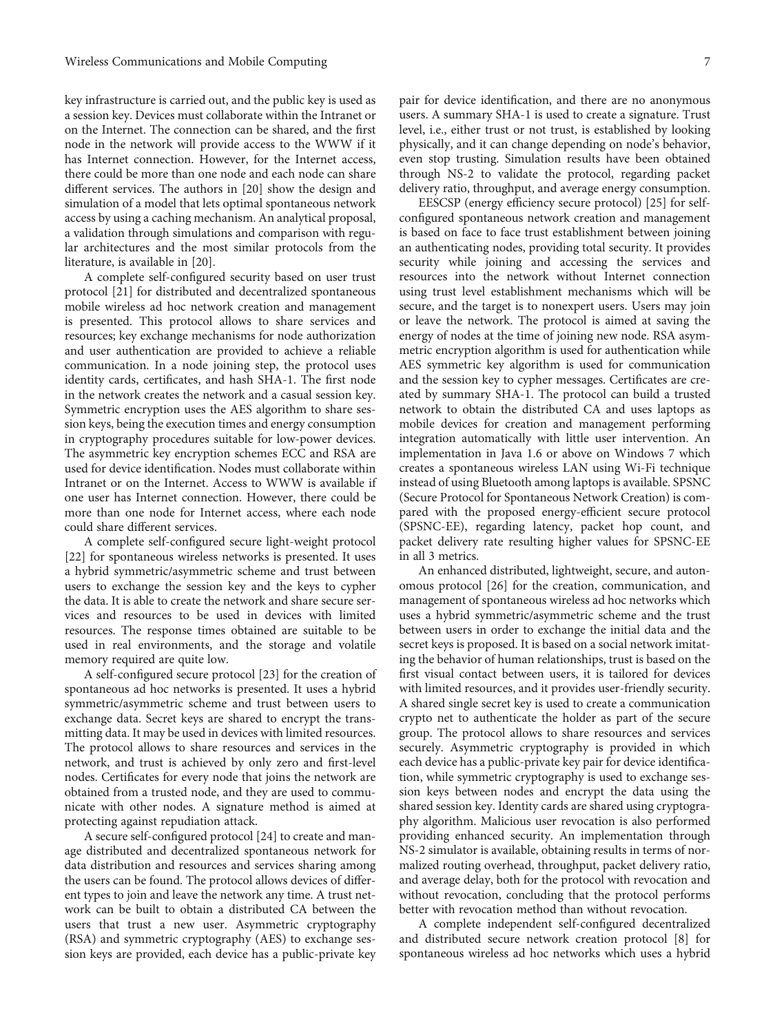key infrastructure is carried out, and the public key is used as a session key. Devices must collaborate within the Intranet or on the Internet. The connection can be shared, and the first node in the network will provide access to the WWW if it has Internet connection. However, for the Internet access, there could be more than one node and each node can share different services. The authors in [[20](#page-19-0)] show the design and simulation of a model that lets optimal spontaneous network access by using a caching mechanism. An analytical proposal, a validation through simulations and comparison with regular architectures and the most similar protocols from the literature, is available in [[20](#page-19-0)].

A complete self-configured security based on user trust protocol [\[21\]](#page-19-0) for distributed and decentralized spontaneous mobile wireless ad hoc network creation and management is presented. This protocol allows to share services and resources; key exchange mechanisms for node authorization and user authentication are provided to achieve a reliable communication. In a node joining step, the protocol uses identity cards, certificates, and hash SHA-1. The first node in the network creates the network and a casual session key. Symmetric encryption uses the AES algorithm to share session keys, being the execution times and energy consumption in cryptography procedures suitable for low-power devices. The asymmetric key encryption schemes ECC and RSA are used for device identification. Nodes must collaborate within Intranet or on the Internet. Access to WWW is available if one user has Internet connection. However, there could be more than one node for Internet access, where each node could share different services.

A complete self-configured secure light-weight protocol [\[22](#page-19-0)] for spontaneous wireless networks is presented. It uses a hybrid symmetric/asymmetric scheme and trust between users to exchange the session key and the keys to cypher the data. It is able to create the network and share secure services and resources to be used in devices with limited resources. The response times obtained are suitable to be used in real environments, and the storage and volatile memory required are quite low.

A self-configured secure protocol [\[23](#page-19-0)] for the creation of spontaneous ad hoc networks is presented. It uses a hybrid symmetric/asymmetric scheme and trust between users to exchange data. Secret keys are shared to encrypt the transmitting data. It may be used in devices with limited resources. The protocol allows to share resources and services in the network, and trust is achieved by only zero and first-level nodes. Certificates for every node that joins the network are obtained from a trusted node, and they are used to communicate with other nodes. A signature method is aimed at protecting against repudiation attack.

A secure self-configured protocol [[24](#page-19-0)] to create and manage distributed and decentralized spontaneous network for data distribution and resources and services sharing among the users can be found. The protocol allows devices of different types to join and leave the network any time. A trust network can be built to obtain a distributed CA between the users that trust a new user. Asymmetric cryptography (RSA) and symmetric cryptography (AES) to exchange session keys are provided, each device has a public-private key pair for device identification, and there are no anonymous users. A summary SHA-1 is used to create a signature. Trust level, i.e., either trust or not trust, is established by looking physically, and it can change depending on node's behavior, even stop trusting. Simulation results have been obtained through NS-2 to validate the protocol, regarding packet delivery ratio, throughput, and average energy consumption.

EESCSP (energy efficiency secure protocol) [\[25\]](#page-19-0) for selfconfigured spontaneous network creation and management is based on face to face trust establishment between joining an authenticating nodes, providing total security. It provides security while joining and accessing the services and resources into the network without Internet connection using trust level establishment mechanisms which will be secure, and the target is to nonexpert users. Users may join or leave the network. The protocol is aimed at saving the energy of nodes at the time of joining new node. RSA asymmetric encryption algorithm is used for authentication while AES symmetric key algorithm is used for communication and the session key to cypher messages. Certificates are created by summary SHA-1. The protocol can build a trusted network to obtain the distributed CA and uses laptops as mobile devices for creation and management performing integration automatically with little user intervention. An implementation in Java 1.6 or above on Windows 7 which creates a spontaneous wireless LAN using Wi-Fi technique instead of using Bluetooth among laptops is available. SPSNC (Secure Protocol for Spontaneous Network Creation) is compared with the proposed energy-efficient secure protocol (SPSNC-EE), regarding latency, packet hop count, and packet delivery rate resulting higher values for SPSNC-EE in all 3 metrics.

An enhanced distributed, lightweight, secure, and autonomous protocol [\[26\]](#page-19-0) for the creation, communication, and management of spontaneous wireless ad hoc networks which uses a hybrid symmetric/asymmetric scheme and the trust between users in order to exchange the initial data and the secret keys is proposed. It is based on a social network imitating the behavior of human relationships, trust is based on the first visual contact between users, it is tailored for devices with limited resources, and it provides user-friendly security. A shared single secret key is used to create a communication crypto net to authenticate the holder as part of the secure group. The protocol allows to share resources and services securely. Asymmetric cryptography is provided in which each device has a public-private key pair for device identification, while symmetric cryptography is used to exchange session keys between nodes and encrypt the data using the shared session key. Identity cards are shared using cryptography algorithm. Malicious user revocation is also performed providing enhanced security. An implementation through NS-2 simulator is available, obtaining results in terms of normalized routing overhead, throughput, packet delivery ratio, and average delay, both for the protocol with revocation and without revocation, concluding that the protocol performs better with revocation method than without revocation.

A complete independent self-configured decentralized and distributed secure network creation protocol [\[8\]](#page-18-0) for spontaneous wireless ad hoc networks which uses a hybrid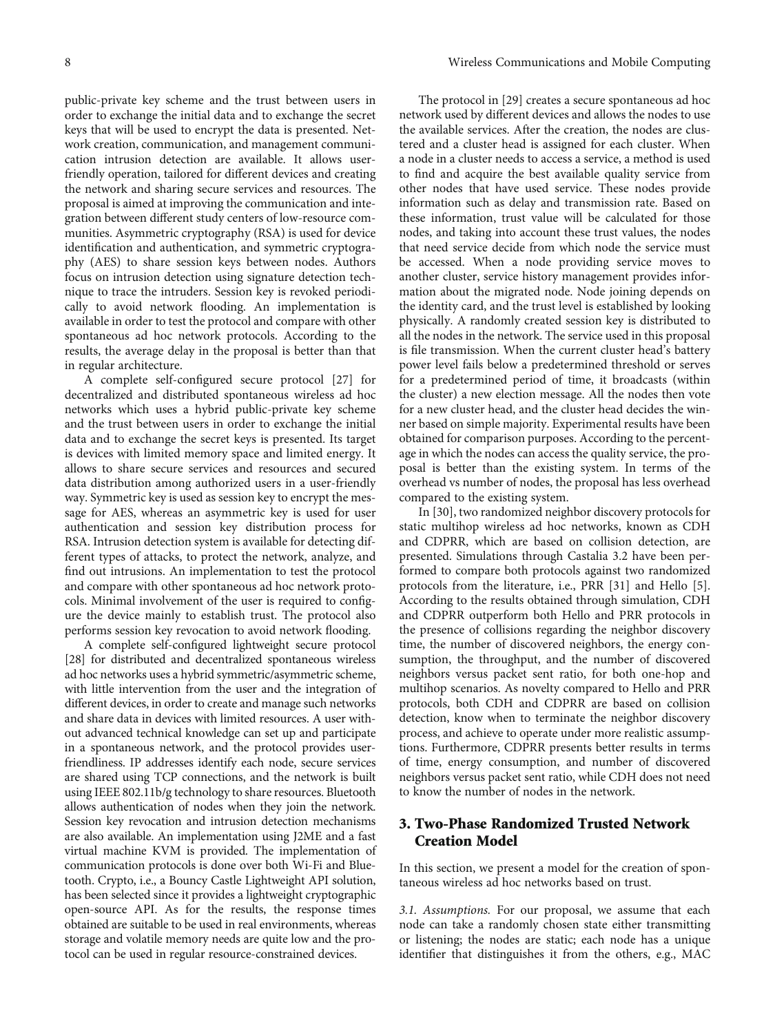<span id="page-7-0"></span>public-private key scheme and the trust between users in order to exchange the initial data and to exchange the secret keys that will be used to encrypt the data is presented. Network creation, communication, and management communication intrusion detection are available. It allows userfriendly operation, tailored for different devices and creating the network and sharing secure services and resources. The proposal is aimed at improving the communication and integration between different study centers of low-resource communities. Asymmetric cryptography (RSA) is used for device identification and authentication, and symmetric cryptography (AES) to share session keys between nodes. Authors focus on intrusion detection using signature detection technique to trace the intruders. Session key is revoked periodically to avoid network flooding. An implementation is available in order to test the protocol and compare with other spontaneous ad hoc network protocols. According to the results, the average delay in the proposal is better than that in regular architecture.

A complete self-configured secure protocol [\[27\]](#page-19-0) for decentralized and distributed spontaneous wireless ad hoc networks which uses a hybrid public-private key scheme and the trust between users in order to exchange the initial data and to exchange the secret keys is presented. Its target is devices with limited memory space and limited energy. It allows to share secure services and resources and secured data distribution among authorized users in a user-friendly way. Symmetric key is used as session key to encrypt the message for AES, whereas an asymmetric key is used for user authentication and session key distribution process for RSA. Intrusion detection system is available for detecting different types of attacks, to protect the network, analyze, and find out intrusions. An implementation to test the protocol and compare with other spontaneous ad hoc network protocols. Minimal involvement of the user is required to configure the device mainly to establish trust. The protocol also performs session key revocation to avoid network flooding.

A complete self-configured lightweight secure protocol [\[28\]](#page-19-0) for distributed and decentralized spontaneous wireless ad hoc networks uses a hybrid symmetric/asymmetric scheme, with little intervention from the user and the integration of different devices, in order to create and manage such networks and share data in devices with limited resources. A user without advanced technical knowledge can set up and participate in a spontaneous network, and the protocol provides userfriendliness. IP addresses identify each node, secure services are shared using TCP connections, and the network is built using IEEE 802.11b/g technology to share resources. Bluetooth allows authentication of nodes when they join the network. Session key revocation and intrusion detection mechanisms are also available. An implementation using J2ME and a fast virtual machine KVM is provided. The implementation of communication protocols is done over both Wi-Fi and Bluetooth. Crypto, i.e., a Bouncy Castle Lightweight API solution, has been selected since it provides a lightweight cryptographic open-source API. As for the results, the response times obtained are suitable to be used in real environments, whereas storage and volatile memory needs are quite low and the protocol can be used in regular resource-constrained devices.

The protocol in [[29](#page-19-0)] creates a secure spontaneous ad hoc network used by different devices and allows the nodes to use the available services. After the creation, the nodes are clustered and a cluster head is assigned for each cluster. When a node in a cluster needs to access a service, a method is used to find and acquire the best available quality service from other nodes that have used service. These nodes provide information such as delay and transmission rate. Based on these information, trust value will be calculated for those nodes, and taking into account these trust values, the nodes that need service decide from which node the service must be accessed. When a node providing service moves to another cluster, service history management provides information about the migrated node. Node joining depends on the identity card, and the trust level is established by looking physically. A randomly created session key is distributed to all the nodes in the network. The service used in this proposal is file transmission. When the current cluster head's battery power level fails below a predetermined threshold or serves for a predetermined period of time, it broadcasts (within the cluster) a new election message. All the nodes then vote for a new cluster head, and the cluster head decides the winner based on simple majority. Experimental results have been obtained for comparison purposes. According to the percentage in which the nodes can access the quality service, the proposal is better than the existing system. In terms of the overhead vs number of nodes, the proposal has less overhead compared to the existing system.

In [\[30\]](#page-19-0), two randomized neighbor discovery protocols for static multihop wireless ad hoc networks, known as CDH and CDPRR, which are based on collision detection, are presented. Simulations through Castalia 3.2 have been performed to compare both protocols against two randomized protocols from the literature, i.e., PRR [[31](#page-19-0)] and Hello [[5](#page-18-0)]. According to the results obtained through simulation, CDH and CDPRR outperform both Hello and PRR protocols in the presence of collisions regarding the neighbor discovery time, the number of discovered neighbors, the energy consumption, the throughput, and the number of discovered neighbors versus packet sent ratio, for both one-hop and multihop scenarios. As novelty compared to Hello and PRR protocols, both CDH and CDPRR are based on collision detection, know when to terminate the neighbor discovery process, and achieve to operate under more realistic assumptions. Furthermore, CDPRR presents better results in terms of time, energy consumption, and number of discovered neighbors versus packet sent ratio, while CDH does not need to know the number of nodes in the network.

## 3. Two-Phase Randomized Trusted Network Creation Model

In this section, we present a model for the creation of spontaneous wireless ad hoc networks based on trust.

3.1. Assumptions. For our proposal, we assume that each node can take a randomly chosen state either transmitting or listening; the nodes are static; each node has a unique identifier that distinguishes it from the others, e.g., MAC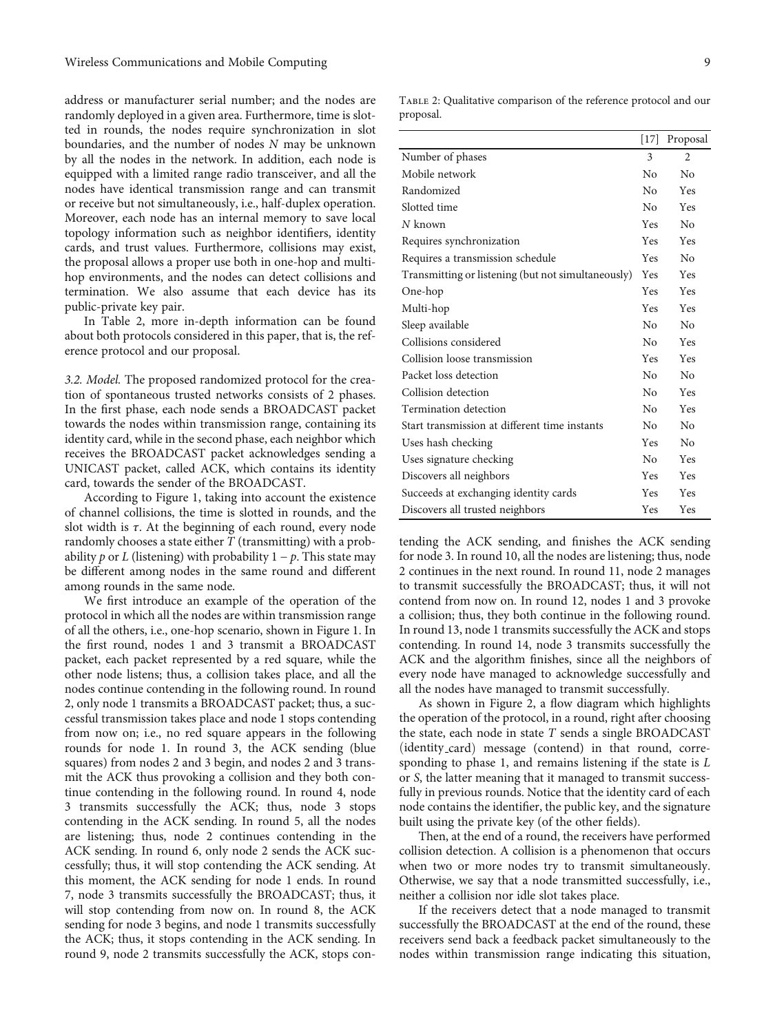<span id="page-8-0"></span>address or manufacturer serial number; and the nodes are randomly deployed in a given area. Furthermore, time is slotted in rounds, the nodes require synchronization in slot boundaries, and the number of nodes *N* may be unknown by all the nodes in the network. In addition, each node is equipped with a limited range radio transceiver, and all the nodes have identical transmission range and can transmit or receive but not simultaneously, i.e., half-duplex operation. Moreover, each node has an internal memory to save local topology information such as neighbor identifiers, identity cards, and trust values. Furthermore, collisions may exist, the proposal allows a proper use both in one-hop and multihop environments, and the nodes can detect collisions and termination. We also assume that each device has its public-private key pair.

In Table 2, more in-depth information can be found about both protocols considered in this paper, that is, the reference protocol and our proposal.

3.2. Model. The proposed randomized protocol for the creation of spontaneous trusted networks consists of 2 phases. In the first phase, each node sends a BROADCAST packet towards the nodes within transmission range, containing its identity card, while in the second phase, each neighbor which receives the BROADCAST packet acknowledges sending a UNICAST packet, called ACK, which contains its identity card, towards the sender of the BROADCAST.

According to Figure [1,](#page-9-0) taking into account the existence of channel collisions, the time is slotted in rounds, and the slot width is *τ*. At the beginning of each round, every node randomly chooses a state either *T* (transmitting) with a probability *p* or *L* (listening) with probability  $1 - p$ . This state may be different among nodes in the same round and different among rounds in the same node.

We first introduce an example of the operation of the protocol in which all the nodes are within transmission range of all the others, i.e., one-hop scenario, shown in Figure [1.](#page-9-0) In the first round, nodes 1 and 3 transmit a BROADCAST packet, each packet represented by a red square, while the other node listens; thus, a collision takes place, and all the nodes continue contending in the following round. In round 2, only node 1 transmits a BROADCAST packet; thus, a successful transmission takes place and node 1 stops contending from now on; i.e., no red square appears in the following rounds for node 1. In round 3, the ACK sending (blue squares) from nodes 2 and 3 begin, and nodes 2 and 3 transmit the ACK thus provoking a collision and they both continue contending in the following round. In round 4, node 3 transmits successfully the ACK; thus, node 3 stops contending in the ACK sending. In round 5, all the nodes are listening; thus, node 2 continues contending in the ACK sending. In round 6, only node 2 sends the ACK successfully; thus, it will stop contending the ACK sending. At this moment, the ACK sending for node 1 ends. In round 7, node 3 transmits successfully the BROADCAST; thus, it will stop contending from now on. In round 8, the ACK sending for node 3 begins, and node 1 transmits successfully the ACK; thus, it stops contending in the ACK sending. In round 9, node 2 transmits successfully the ACK, stops con-

Table 2: Qualitative comparison of the reference protocol and our proposal.

|                                                    | [17]           | Proposal       |
|----------------------------------------------------|----------------|----------------|
| Number of phases                                   | 3              | $\mathfrak{D}$ |
| Mobile network                                     | No             | $\rm N_{0}$    |
| Randomized                                         | No             | Yes            |
| Slotted time                                       | No             | Yes            |
| $N$ known                                          | <b>Yes</b>     | No             |
| Requires synchronization                           | <b>Yes</b>     | Yes            |
| Requires a transmission schedule                   | <b>Yes</b>     | $\rm N_{0}$    |
| Transmitting or listening (but not simultaneously) | <b>Yes</b>     | Yes            |
| One-hop                                            | Yes            | Yes            |
| Multi-hop                                          | <b>Yes</b>     | Yes            |
| Sleep available                                    | No             | $\rm N_{0}$    |
| Collisions considered                              | No             | Yes            |
| Collision loose transmission                       | <b>Yes</b>     | Yes            |
| Packet loss detection                              | $N_{\Omega}$   | $\rm N_{0}$    |
| Collision detection                                | N <sub>0</sub> | Yes            |
| Termination detection                              | $N_{\Omega}$   | Yes            |
| Start transmission at different time instants      | No             | No             |
| Uses hash checking                                 | <b>Yes</b>     | $\rm N_{0}$    |
| Uses signature checking                            | $N_{\Omega}$   | Yes            |
| Discovers all neighbors                            | Yes            | Yes            |
| Succeeds at exchanging identity cards              | <b>Yes</b>     | Yes            |
| Discovers all trusted neighbors                    | Yes            | Yes            |

tending the ACK sending, and finishes the ACK sending for node 3. In round 10, all the nodes are listening; thus, node 2 continues in the next round. In round 11, node 2 manages to transmit successfully the BROADCAST; thus, it will not contend from now on. In round 12, nodes 1 and 3 provoke a collision; thus, they both continue in the following round. In round 13, node 1 transmits successfully the ACK and stops contending. In round 14, node 3 transmits successfully the ACK and the algorithm finishes, since all the neighbors of every node have managed to acknowledge successfully and all the nodes have managed to transmit successfully.

As shown in Figure [2,](#page-9-0) a flow diagram which highlights the operation of the protocol, in a round, right after choosing the state, each node in state *T* sends a single BROADCAST (identity\_card) message (contend) in that round, corresponding to phase 1, and remains listening if the state is *L* or *S*, the latter meaning that it managed to transmit successfully in previous rounds. Notice that the identity card of each node contains the identifier, the public key, and the signature built using the private key (of the other fields).

Then, at the end of a round, the receivers have performed collision detection. A collision is a phenomenon that occurs when two or more nodes try to transmit simultaneously. Otherwise, we say that a node transmitted successfully, i.e., neither a collision nor idle slot takes place.

If the receivers detect that a node managed to transmit successfully the BROADCAST at the end of the round, these receivers send back a feedback packet simultaneously to the nodes within transmission range indicating this situation,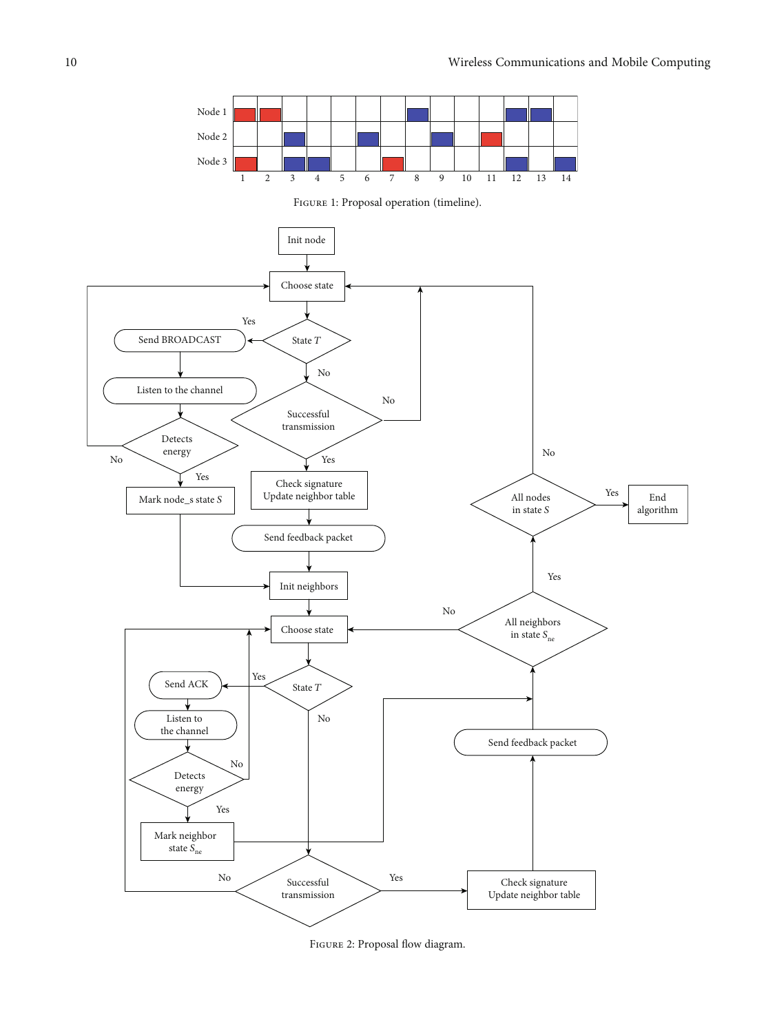<span id="page-9-0"></span>

FIGURE 1: Proposal operation (timeline).



Figure 2: Proposal flow diagram.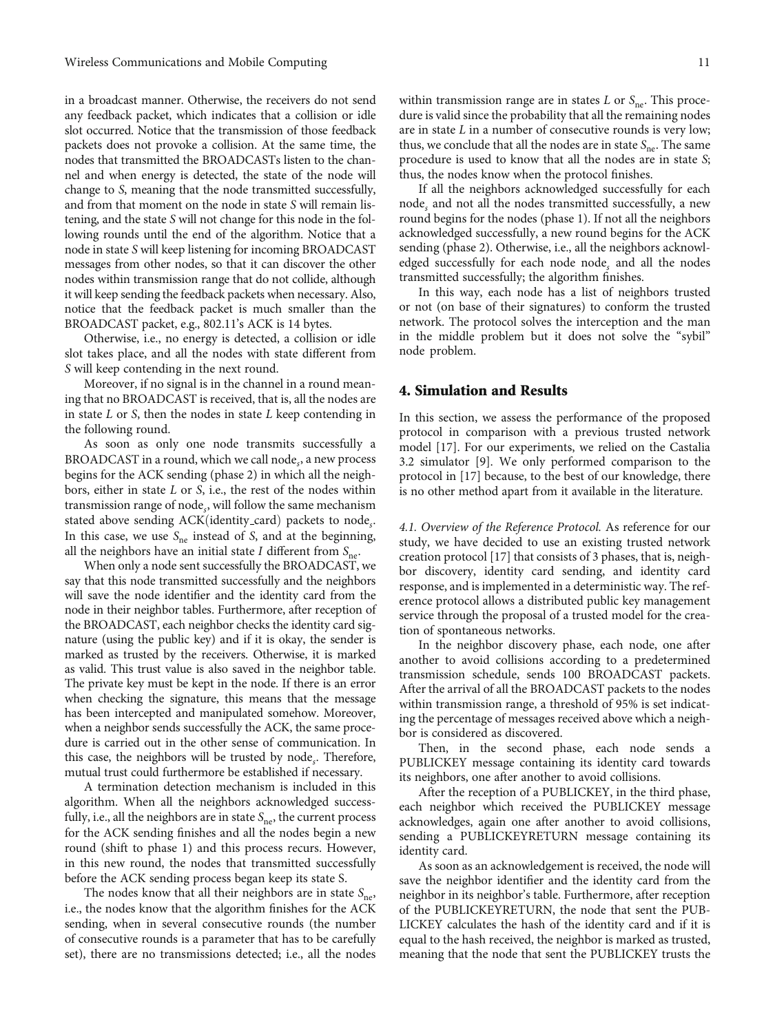<span id="page-10-0"></span>in a broadcast manner. Otherwise, the receivers do not send any feedback packet, which indicates that a collision or idle slot occurred. Notice that the transmission of those feedback packets does not provoke a collision. At the same time, the nodes that transmitted the BROADCASTs listen to the channel and when energy is detected, the state of the node will change to *S*, meaning that the node transmitted successfully, and from that moment on the node in state *S* will remain listening, and the state *S* will not change for this node in the following rounds until the end of the algorithm. Notice that a node in state *S* will keep listening for incoming BROADCAST messages from other nodes, so that it can discover the other nodes within transmission range that do not collide, although it will keep sending the feedback packets when necessary. Also, notice that the feedback packet is much smaller than the BROADCAST packet, e.g., 802.11's ACK is 14 bytes.

Otherwise, i.e., no energy is detected, a collision or idle slot takes place, and all the nodes with state different from *S* will keep contending in the next round.

Moreover, if no signal is in the channel in a round meaning that no BROADCAST is received, that is, all the nodes are in state *L* or *S*, then the nodes in state *L* keep contending in the following round.

As soon as only one node transmits successfully a BROADCAST in a round, which we call node*s*, a new process begins for the ACK sending (phase 2) in which all the neighbors, either in state *L* or *S*, i.e., the rest of the nodes within transmission range of node*s*, will follow the same mechanism stated above sending ACK(identity\_card) packets to node<sub>s</sub>. In this case, we use  $S_{\text{ne}}$  instead of *S*, and at the beginning, all the neighbors have an initial state *I* different from  $S_{\text{ne}}$ .

When only a node sent successfully the BROADCAST, we say that this node transmitted successfully and the neighbors will save the node identifier and the identity card from the node in their neighbor tables. Furthermore, after reception of the BROADCAST, each neighbor checks the identity card signature (using the public key) and if it is okay, the sender is marked as trusted by the receivers. Otherwise, it is marked as valid. This trust value is also saved in the neighbor table. The private key must be kept in the node. If there is an error when checking the signature, this means that the message has been intercepted and manipulated somehow. Moreover, when a neighbor sends successfully the ACK, the same procedure is carried out in the other sense of communication. In this case, the neighbors will be trusted by node*s*. Therefore, mutual trust could furthermore be established if necessary.

A termination detection mechanism is included in this algorithm. When all the neighbors acknowledged successfully, i.e., all the neighbors are in state S<sub>ne</sub>, the current process for the ACK sending finishes and all the nodes begin a new round (shift to phase 1) and this process recurs. However, in this new round, the nodes that transmitted successfully before the ACK sending process began keep its state S.

The nodes know that all their neighbors are in state  $S_{\text{ne}}$ , i.e., the nodes know that the algorithm finishes for the ACK sending, when in several consecutive rounds (the number of consecutive rounds is a parameter that has to be carefully set), there are no transmissions detected; i.e., all the nodes

within transmission range are in states  $L$  or  $S_{\text{ne}}$ . This procedure is valid since the probability that all the remaining nodes are in state *L* in a number of consecutive rounds is very low; thus, we conclude that all the nodes are in state *S*<sub>ne</sub>. The same procedure is used to know that all the nodes are in state *S*; thus, the nodes know when the protocol finishes.

If all the neighbors acknowledged successfully for each node*<sup>s</sup>* and not all the nodes transmitted successfully, a new round begins for the nodes (phase 1). If not all the neighbors acknowledged successfully, a new round begins for the ACK sending (phase 2). Otherwise, i.e., all the neighbors acknowledged successfully for each node node*<sup>s</sup>* and all the nodes transmitted successfully; the algorithm finishes.

In this way, each node has a list of neighbors trusted or not (on base of their signatures) to conform the trusted network. The protocol solves the interception and the man in the middle problem but it does not solve the "sybil" node problem.

#### 4. Simulation and Results

In this section, we assess the performance of the proposed protocol in comparison with a previous trusted network model [[17](#page-19-0)]. For our experiments, we relied on the Castalia 3.2 simulator [\[9](#page-18-0)]. We only performed comparison to the protocol in [\[17\]](#page-19-0) because, to the best of our knowledge, there is no other method apart from it available in the literature.

4.1. Overview of the Reference Protocol. As reference for our study, we have decided to use an existing trusted network creation protocol [[17](#page-19-0)] that consists of 3 phases, that is, neighbor discovery, identity card sending, and identity card response, and is implemented in a deterministic way. The reference protocol allows a distributed public key management service through the proposal of a trusted model for the creation of spontaneous networks.

In the neighbor discovery phase, each node, one after another to avoid collisions according to a predetermined transmission schedule, sends 100 BROADCAST packets. After the arrival of all the BROADCAST packets to the nodes within transmission range, a threshold of 95% is set indicating the percentage of messages received above which a neighbor is considered as discovered.

Then, in the second phase, each node sends a PUBLICKEY message containing its identity card towards its neighbors, one after another to avoid collisions.

After the reception of a PUBLICKEY, in the third phase, each neighbor which received the PUBLICKEY message acknowledges, again one after another to avoid collisions, sending a PUBLICKEYRETURN message containing its identity card.

As soon as an acknowledgement is received, the node will save the neighbor identifier and the identity card from the neighbor in its neighbor's table. Furthermore, after reception of the PUBLICKEYRETURN, the node that sent the PUB-LICKEY calculates the hash of the identity card and if it is equal to the hash received, the neighbor is marked as trusted, meaning that the node that sent the PUBLICKEY trusts the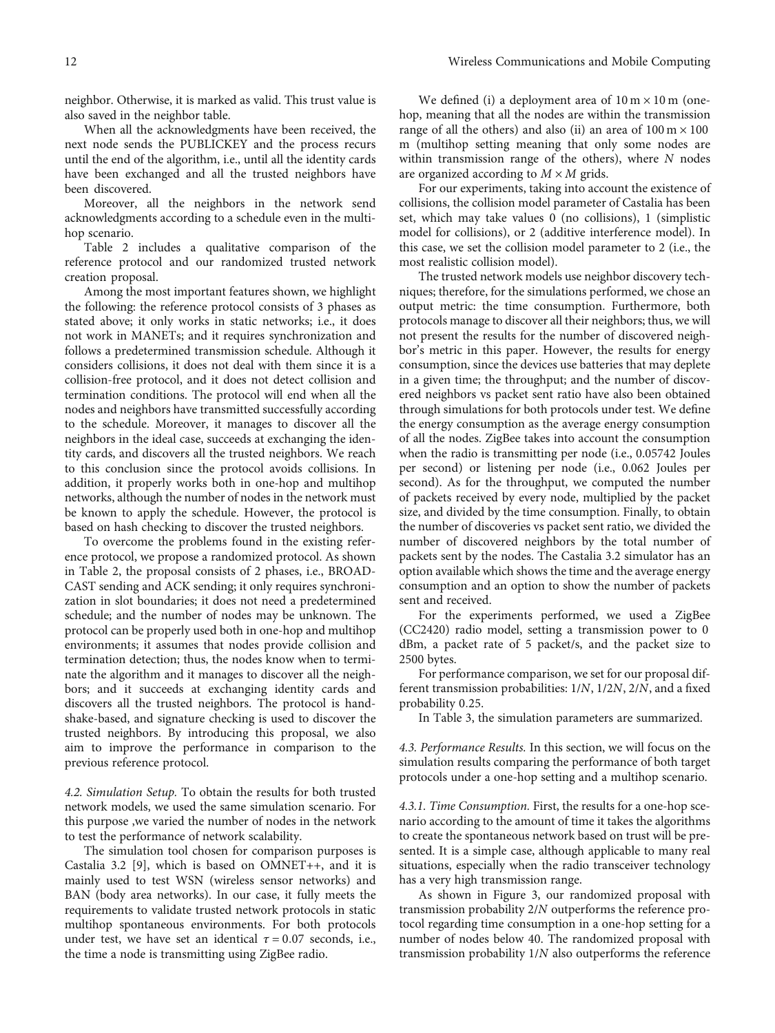neighbor. Otherwise, it is marked as valid. This trust value is also saved in the neighbor table.

When all the acknowledgments have been received, the next node sends the PUBLICKEY and the process recurs until the end of the algorithm, i.e., until all the identity cards have been exchanged and all the trusted neighbors have been discovered.

Moreover, all the neighbors in the network send acknowledgments according to a schedule even in the multihop scenario.

Table [2](#page-8-0) includes a qualitative comparison of the reference protocol and our randomized trusted network creation proposal.

Among the most important features shown, we highlight the following: the reference protocol consists of 3 phases as stated above; it only works in static networks; i.e., it does not work in MANETs; and it requires synchronization and follows a predetermined transmission schedule. Although it considers collisions, it does not deal with them since it is a collision-free protocol, and it does not detect collision and termination conditions. The protocol will end when all the nodes and neighbors have transmitted successfully according to the schedule. Moreover, it manages to discover all the neighbors in the ideal case, succeeds at exchanging the identity cards, and discovers all the trusted neighbors. We reach to this conclusion since the protocol avoids collisions. In addition, it properly works both in one-hop and multihop networks, although the number of nodes in the network must be known to apply the schedule. However, the protocol is based on hash checking to discover the trusted neighbors.

To overcome the problems found in the existing reference protocol, we propose a randomized protocol. As shown in Table [2,](#page-8-0) the proposal consists of 2 phases, i.e., BROAD-CAST sending and ACK sending; it only requires synchronization in slot boundaries; it does not need a predetermined schedule; and the number of nodes may be unknown. The protocol can be properly used both in one-hop and multihop environments; it assumes that nodes provide collision and termination detection; thus, the nodes know when to terminate the algorithm and it manages to discover all the neighbors; and it succeeds at exchanging identity cards and discovers all the trusted neighbors. The protocol is handshake-based, and signature checking is used to discover the trusted neighbors. By introducing this proposal, we also aim to improve the performance in comparison to the previous reference protocol.

4.2. Simulation Setup. To obtain the results for both trusted network models, we used the same simulation scenario. For this purpose ,we varied the number of nodes in the network to test the performance of network scalability.

The simulation tool chosen for comparison purposes is Castalia 3.2 [[9](#page-18-0)], which is based on OMNET++, and it is mainly used to test WSN (wireless sensor networks) and BAN (body area networks). In our case, it fully meets the requirements to validate trusted network protocols in static multihop spontaneous environments. For both protocols under test, we have set an identical  $\tau = 0.07$  seconds, i.e., the time a node is transmitting using ZigBee radio.

We defined (i) a deployment area of  $10 \text{ m} \times 10 \text{ m}$  (onehop, meaning that all the nodes are within the transmission range of all the others) and also (ii) an area of  $100 \text{ m} \times 100$ m (multihop setting meaning that only some nodes are within transmission range of the others), where *N* nodes are organized according to  $M \times M$  grids.

For our experiments, taking into account the existence of collisions, the collision model parameter of Castalia has been set, which may take values 0 (no collisions), 1 (simplistic model for collisions), or 2 (additive interference model). In this case, we set the collision model parameter to 2 (i.e., the most realistic collision model).

The trusted network models use neighbor discovery techniques; therefore, for the simulations performed, we chose an output metric: the time consumption. Furthermore, both protocols manage to discover all their neighbors; thus, we will not present the results for the number of discovered neighbor's metric in this paper. However, the results for energy consumption, since the devices use batteries that may deplete in a given time; the throughput; and the number of discovered neighbors vs packet sent ratio have also been obtained through simulations for both protocols under test. We define the energy consumption as the average energy consumption of all the nodes. ZigBee takes into account the consumption when the radio is transmitting per node (i.e., 0.05742 Joules per second) or listening per node (i.e., 0.062 Joules per second). As for the throughput, we computed the number of packets received by every node, multiplied by the packet size, and divided by the time consumption. Finally, to obtain the number of discoveries vs packet sent ratio, we divided the number of discovered neighbors by the total number of packets sent by the nodes. The Castalia 3.2 simulator has an option available which shows the time and the average energy consumption and an option to show the number of packets sent and received.

For the experiments performed, we used a ZigBee (CC2420) radio model, setting a transmission power to 0 dBm, a packet rate of 5 packet/s, and the packet size to 2500 bytes.

For performance comparison, we set for our proposal different transmission probabilities: 1/*N*, 1/2*N*, 2/*N*, and a fixed probability 0*:*25.

In Table [3](#page-12-0), the simulation parameters are summarized.

4.3. Performance Results. In this section, we will focus on the simulation results comparing the performance of both target protocols under a one-hop setting and a multihop scenario.

4.3.1. Time Consumption. First, the results for a one-hop scenario according to the amount of time it takes the algorithms to create the spontaneous network based on trust will be presented. It is a simple case, although applicable to many real situations, especially when the radio transceiver technology has a very high transmission range.

As shown in Figure [3](#page-13-0), our randomized proposal with transmission probability 2/*N* outperforms the reference protocol regarding time consumption in a one-hop setting for a number of nodes below 40. The randomized proposal with transmission probability 1/*N* also outperforms the reference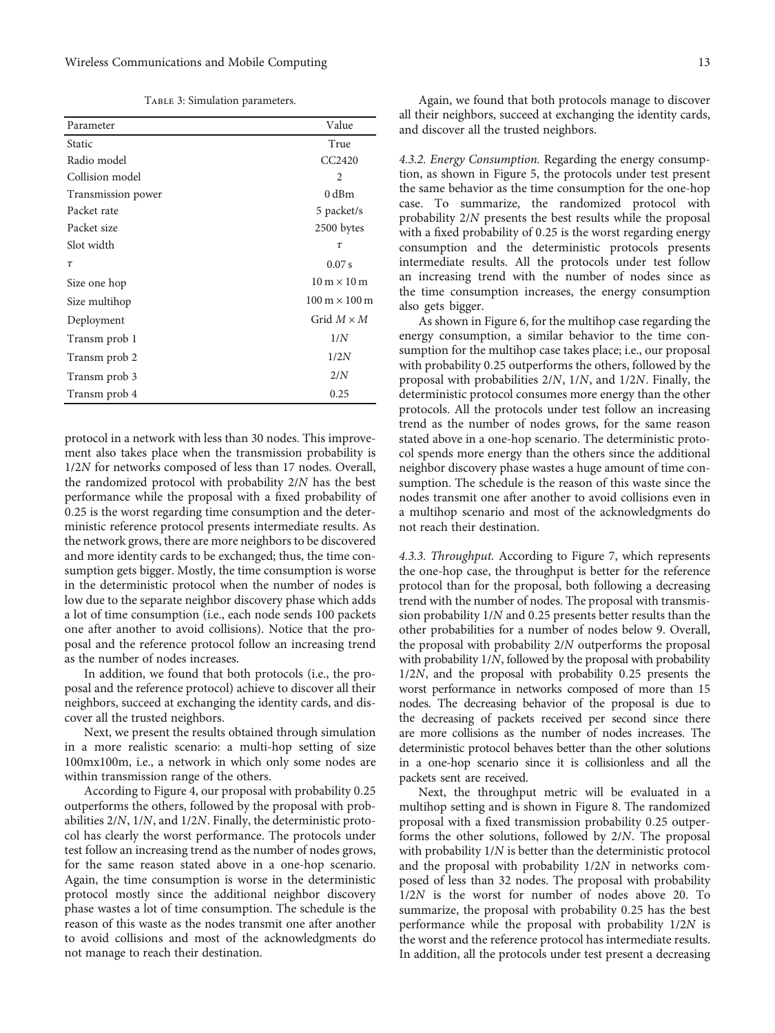|  | TABLE 3: Simulation parameters. |
|--|---------------------------------|
|  |                                 |

<span id="page-12-0"></span>

| Parameter          | Value                                |
|--------------------|--------------------------------------|
| Static             | True                                 |
| Radio model        | CC <sub>2420</sub>                   |
| Collision model    | $\mathfrak{D}$                       |
| Transmission power | $0$ dBm                              |
| Packet rate        | 5 packet/s                           |
| Packet size        | 2500 bytes                           |
| Slot width         | $\tau$                               |
| $\tau$             | 0.07 s                               |
| Size one hop       | $10 \text{ m} \times 10 \text{ m}$   |
| Size multihop      | $100 \text{ m} \times 100 \text{ m}$ |
| Deployment         | Grid $M \times M$                    |
| Transm prob 1      | 1/N                                  |
| Transm prob 2      | 1/2N                                 |
| Transm prob 3      | 2/N                                  |
| Transm prob 4      | 0.25                                 |

protocol in a network with less than 30 nodes. This improvement also takes place when the transmission probability is 1/2*N* for networks composed of less than 17 nodes. Overall, the randomized protocol with probability 2/*N* has the best performance while the proposal with a fixed probability of 0*:*25 is the worst regarding time consumption and the deterministic reference protocol presents intermediate results. As the network grows, there are more neighbors to be discovered and more identity cards to be exchanged; thus, the time consumption gets bigger. Mostly, the time consumption is worse in the deterministic protocol when the number of nodes is low due to the separate neighbor discovery phase which adds a lot of time consumption (i.e., each node sends 100 packets one after another to avoid collisions). Notice that the proposal and the reference protocol follow an increasing trend as the number of nodes increases.

In addition, we found that both protocols (i.e., the proposal and the reference protocol) achieve to discover all their neighbors, succeed at exchanging the identity cards, and discover all the trusted neighbors.

Next, we present the results obtained through simulation in a more realistic scenario: a multi-hop setting of size 100mx100m, i.e., a network in which only some nodes are within transmission range of the others.

According to Figure [4](#page-13-0), our proposal with probability 0*:*25 outperforms the others, followed by the proposal with probabilities 2/*N*, 1/*N*, and 1/2*N*. Finally, the deterministic protocol has clearly the worst performance. The protocols under test follow an increasing trend as the number of nodes grows, for the same reason stated above in a one-hop scenario. Again, the time consumption is worse in the deterministic protocol mostly since the additional neighbor discovery phase wastes a lot of time consumption. The schedule is the reason of this waste as the nodes transmit one after another to avoid collisions and most of the acknowledgments do not manage to reach their destination.

Again, we found that both protocols manage to discover all their neighbors, succeed at exchanging the identity cards, and discover all the trusted neighbors.

4.3.2. Energy Consumption. Regarding the energy consumption, as shown in Figure [5](#page-14-0), the protocols under test present the same behavior as the time consumption for the one-hop case. To summarize, the randomized protocol with probability 2/*N* presents the best results while the proposal with a fixed probability of 0*:*25 is the worst regarding energy consumption and the deterministic protocols presents intermediate results. All the protocols under test follow an increasing trend with the number of nodes since as the time consumption increases, the energy consumption also gets bigger.

As shown in Figure [6](#page-14-0), for the multihop case regarding the energy consumption, a similar behavior to the time consumption for the multihop case takes place; i.e., our proposal with probability 0*:*25 outperforms the others, followed by the proposal with probabilities 2/*N*, 1/*N*, and 1/2*N*. Finally, the deterministic protocol consumes more energy than the other protocols. All the protocols under test follow an increasing trend as the number of nodes grows, for the same reason stated above in a one-hop scenario. The deterministic protocol spends more energy than the others since the additional neighbor discovery phase wastes a huge amount of time consumption. The schedule is the reason of this waste since the nodes transmit one after another to avoid collisions even in a multihop scenario and most of the acknowledgments do not reach their destination.

4.3.3. Throughput. According to Figure [7](#page-15-0), which represents the one-hop case, the throughput is better for the reference protocol than for the proposal, both following a decreasing trend with the number of nodes. The proposal with transmission probability 1/*N* and 0*:*25 presents better results than the other probabilities for a number of nodes below 9. Overall, the proposal with probability 2/*N* outperforms the proposal with probability 1/*N*, followed by the proposal with probability 1/2*N*, and the proposal with probability 0*:*25 presents the worst performance in networks composed of more than 15 nodes. The decreasing behavior of the proposal is due to the decreasing of packets received per second since there are more collisions as the number of nodes increases. The deterministic protocol behaves better than the other solutions in a one-hop scenario since it is collisionless and all the packets sent are received.

Next, the throughput metric will be evaluated in a multihop setting and is shown in Figure [8](#page-15-0). The randomized proposal with a fixed transmission probability 0*:*25 outperforms the other solutions, followed by 2/*N*. The proposal with probability 1/*N* is better than the deterministic protocol and the proposal with probability 1/2*N* in networks composed of less than 32 nodes. The proposal with probability 1/2*N* is the worst for number of nodes above 20. To summarize, the proposal with probability 0*:*25 has the best performance while the proposal with probability 1/2*N* is the worst and the reference protocol has intermediate results. In addition, all the protocols under test present a decreasing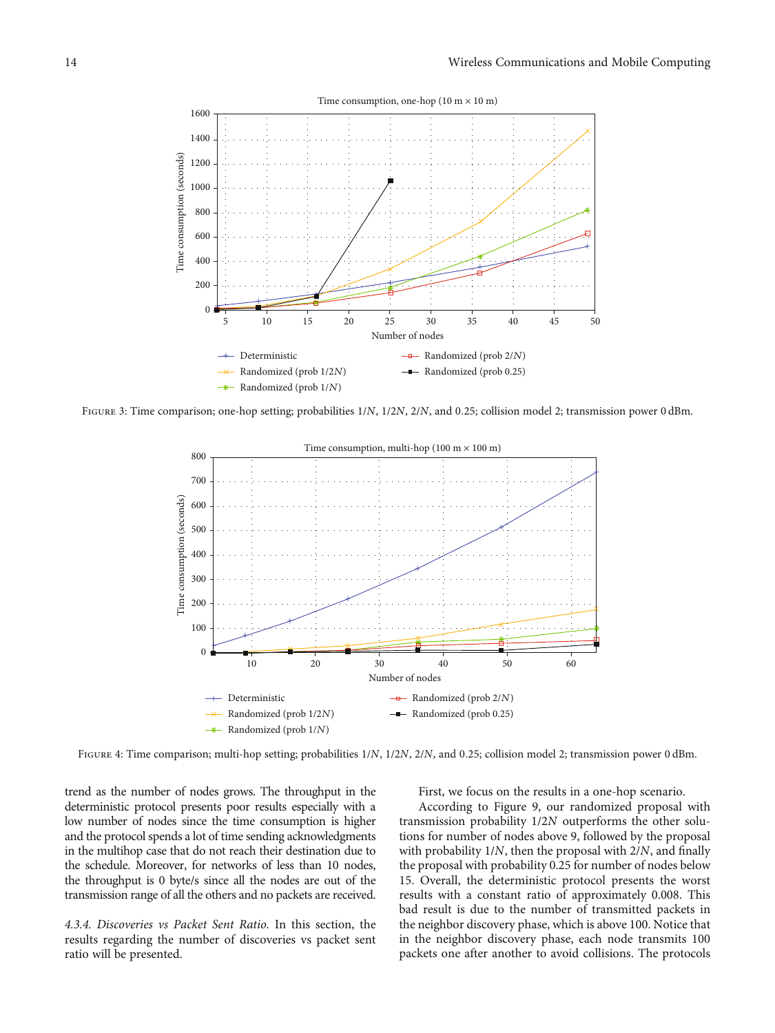<span id="page-13-0"></span>

Figure 3: Time comparison; one-hop setting; probabilities 1/*N*, 1/2*N*, 2/*N*, and <sup>0</sup>*:*25; collision model 2; transmission power 0 dBm.



Figure 4: Time comparison; multi-hop setting; probabilities 1/*N*, 1/2*N*, 2/*N*, and <sup>0</sup>*:*25; collision model 2; transmission power 0 dBm.

trend as the number of nodes grows. The throughput in the deterministic protocol presents poor results especially with a low number of nodes since the time consumption is higher and the protocol spends a lot of time sending acknowledgments in the multihop case that do not reach their destination due to the schedule. Moreover, for networks of less than 10 nodes, the throughput is 0 byte/s since all the nodes are out of the transmission range of all the others and no packets are received.

4.3.4. Discoveries vs Packet Sent Ratio. In this section, the results regarding the number of discoveries vs packet sent ratio will be presented.

First, we focus on the results in a one-hop scenario.

According to Figure [9,](#page-16-0) our randomized proposal with transmission probability 1/2*N* outperforms the other solutions for number of nodes above 9, followed by the proposal with probability 1/*N*, then the proposal with 2/*N*, and finally the proposal with probability 0.25 for number of nodes below 15. Overall, the deterministic protocol presents the worst results with a constant ratio of approximately 0.008. This bad result is due to the number of transmitted packets in the neighbor discovery phase, which is above 100. Notice that in the neighbor discovery phase, each node transmits 100 packets one after another to avoid collisions. The protocols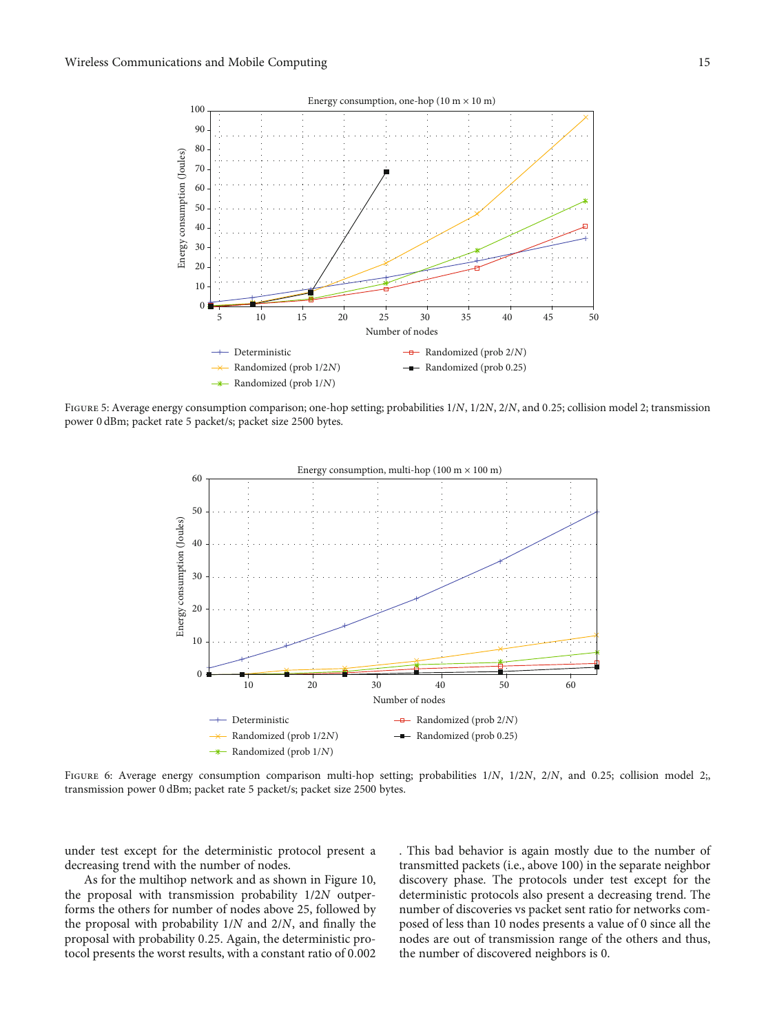<span id="page-14-0"></span>

Figure 5: Average energy consumption comparison; one-hop setting; probabilities 1/*N*, 1/2*N*, 2/*N*, and <sup>0</sup>*:*25; collision model 2; transmission power 0 dBm; packet rate 5 packet/s; packet size 2500 bytes.



Figure 6: Average energy consumption comparison multi-hop setting; probabilities 1/*N*, 1/2*N*, 2/*N*, and <sup>0</sup>*:*25; collision model 2;, transmission power 0 dBm; packet rate 5 packet/s; packet size 2500 bytes.

under test except for the deterministic protocol present a decreasing trend with the number of nodes.

As for the multihop network and as shown in Figure [10,](#page-16-0) the proposal with transmission probability 1/2*N* outperforms the others for number of nodes above 25, followed by the proposal with probability 1/*N* and 2/*N*, and finally the proposal with probability 0*:*25. Again, the deterministic protocol presents the worst results, with a constant ratio of 0*:*002 . This bad behavior is again mostly due to the number of transmitted packets (i.e., above 100) in the separate neighbor discovery phase. The protocols under test except for the deterministic protocols also present a decreasing trend. The number of discoveries vs packet sent ratio for networks composed of less than 10 nodes presents a value of 0 since all the nodes are out of transmission range of the others and thus, the number of discovered neighbors is 0.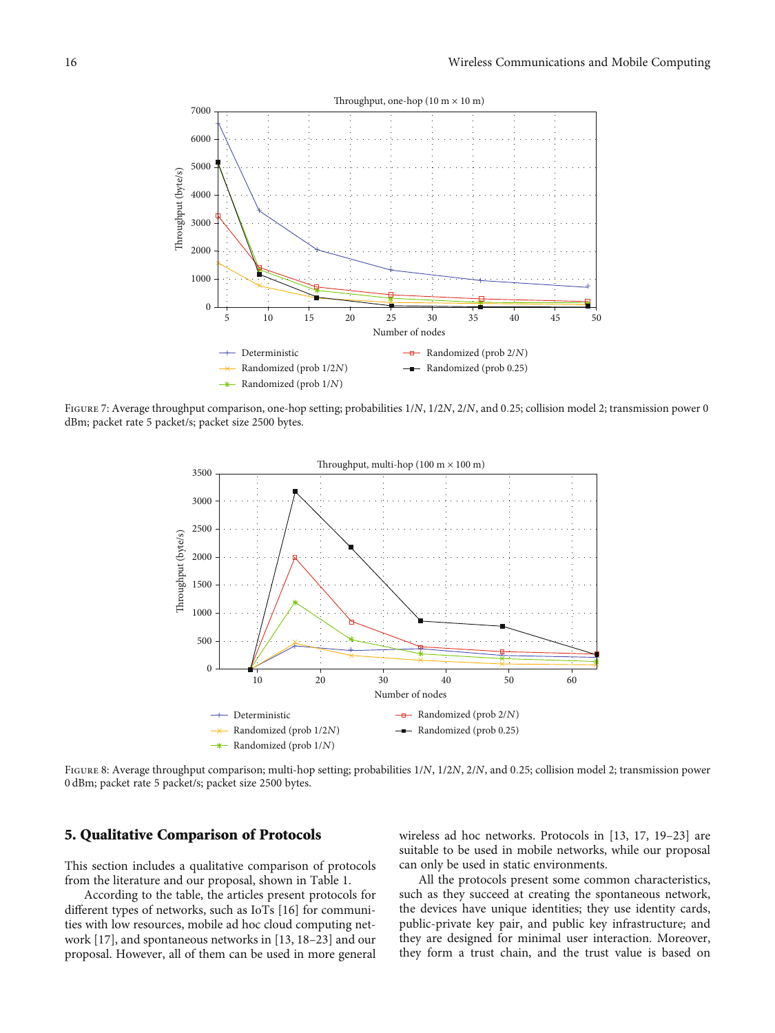<span id="page-15-0"></span>

Figure 7: Average throughput comparison, one-hop setting; probabilities 1/*N*, 1/2*N*, 2/*N*, and <sup>0</sup>*:*25; collision model 2; transmission power 0 dBm; packet rate 5 packet/s; packet size 2500 bytes.



Figure 8: Average throughput comparison; multi-hop setting; probabilities 1/*N*, 1/2*N*, 2/*N*, and <sup>0</sup>*:*25; collision model 2; transmission power 0 dBm; packet rate 5 packet/s; packet size 2500 bytes.

#### 5. Qualitative Comparison of Protocols

This section includes a qualitative comparison of protocols from the literature and our proposal, shown in Table [1.](#page-2-0)

According to the table, the articles present protocols for different types of networks, such as IoTs [[16](#page-19-0)] for communities with low resources, mobile ad hoc cloud computing network [\[17\]](#page-19-0), and spontaneous networks in [[13](#page-19-0), [18](#page-19-0)–[23](#page-19-0)] and our proposal. However, all of them can be used in more general

wireless ad hoc networks. Protocols in [\[13, 17](#page-19-0), [19](#page-19-0)–[23\]](#page-19-0) are suitable to be used in mobile networks, while our proposal can only be used in static environments.

All the protocols present some common characteristics, such as they succeed at creating the spontaneous network, the devices have unique identities; they use identity cards, public-private key pair, and public key infrastructure; and they are designed for minimal user interaction. Moreover, they form a trust chain, and the trust value is based on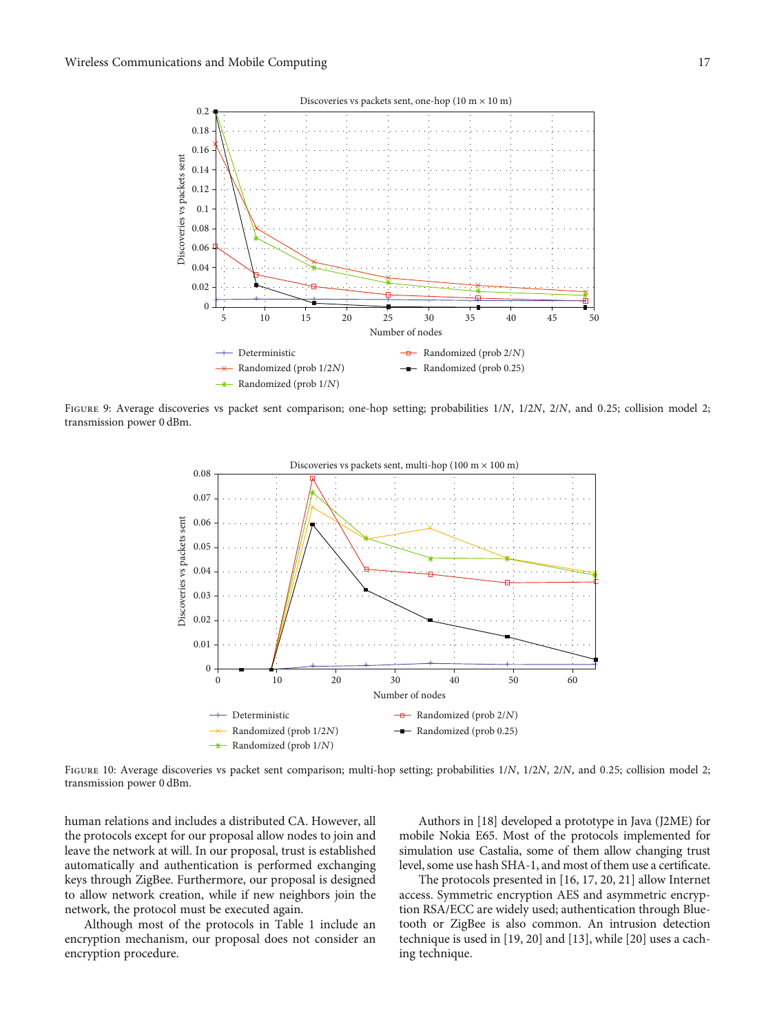<span id="page-16-0"></span>

Figure 9: Average discoveries vs packet sent comparison; one-hop setting; probabilities 1/*N*, 1/2*N*, 2/*N*, and <sup>0</sup>*:*25; collision model 2; transmission power 0 dBm.



Figure 10: Average discoveries vs packet sent comparison; multi-hop setting; probabilities 1/*N*, 1/2*N*, 2/*N*, and <sup>0</sup>*:*25; collision model 2; transmission power 0 dBm.

human relations and includes a distributed CA. However, all the protocols except for our proposal allow nodes to join and leave the network at will. In our proposal, trust is established automatically and authentication is performed exchanging keys through ZigBee. Furthermore, our proposal is designed to allow network creation, while if new neighbors join the network, the protocol must be executed again.

Although most of the protocols in Table [1](#page-2-0) include an encryption mechanism, our proposal does not consider an encryption procedure.

Authors in [[18\]](#page-19-0) developed a prototype in Java (J2ME) for mobile Nokia E65. Most of the protocols implemented for simulation use Castalia, some of them allow changing trust level, some use hash SHA-1, and most of them use a certificate.

The protocols presented in [\[16](#page-19-0), [17](#page-19-0), [20](#page-19-0), [21](#page-19-0)] allow Internet access. Symmetric encryption AES and asymmetric encryption RSA/ECC are widely used; authentication through Bluetooth or ZigBee is also common. An intrusion detection technique is used in [\[19, 20\]](#page-19-0) and [\[13\]](#page-19-0), while [[20](#page-19-0)] uses a caching technique.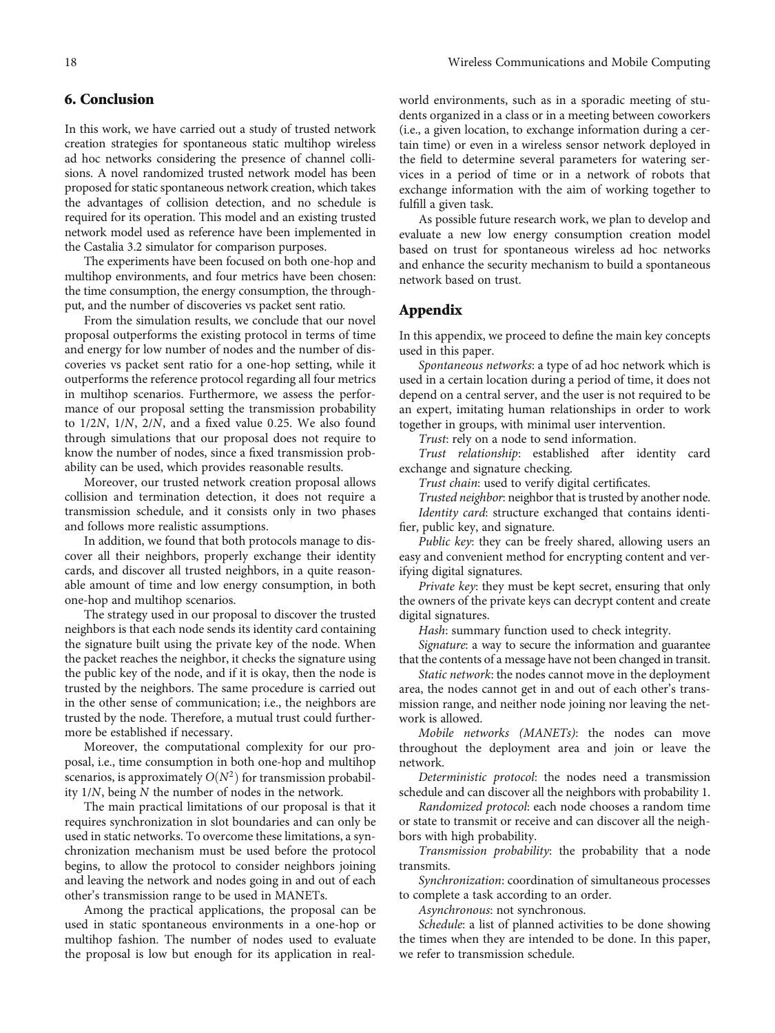## <span id="page-17-0"></span>6. Conclusion

In this work, we have carried out a study of trusted network creation strategies for spontaneous static multihop wireless ad hoc networks considering the presence of channel collisions. A novel randomized trusted network model has been proposed for static spontaneous network creation, which takes the advantages of collision detection, and no schedule is required for its operation. This model and an existing trusted network model used as reference have been implemented in the Castalia 3.2 simulator for comparison purposes.

The experiments have been focused on both one-hop and multihop environments, and four metrics have been chosen: the time consumption, the energy consumption, the throughput, and the number of discoveries vs packet sent ratio.

From the simulation results, we conclude that our novel proposal outperforms the existing protocol in terms of time and energy for low number of nodes and the number of discoveries vs packet sent ratio for a one-hop setting, while it outperforms the reference protocol regarding all four metrics in multihop scenarios. Furthermore, we assess the performance of our proposal setting the transmission probability to 1/2*N*, 1/*N*, 2/*N*, and a fixed value 0*:*25. We also found through simulations that our proposal does not require to know the number of nodes, since a fixed transmission probability can be used, which provides reasonable results.

Moreover, our trusted network creation proposal allows collision and termination detection, it does not require a transmission schedule, and it consists only in two phases and follows more realistic assumptions.

In addition, we found that both protocols manage to discover all their neighbors, properly exchange their identity cards, and discover all trusted neighbors, in a quite reasonable amount of time and low energy consumption, in both one-hop and multihop scenarios.

The strategy used in our proposal to discover the trusted neighbors is that each node sends its identity card containing the signature built using the private key of the node. When the packet reaches the neighbor, it checks the signature using the public key of the node, and if it is okay, then the node is trusted by the neighbors. The same procedure is carried out in the other sense of communication; i.e., the neighbors are trusted by the node. Therefore, a mutual trust could furthermore be established if necessary.

Moreover, the computational complexity for our proposal, i.e., time consumption in both one-hop and multihop scenarios, is approximately  $O(N^2)$  for transmission probability 1/*N*, being *N* the number of nodes in the network.

The main practical limitations of our proposal is that it requires synchronization in slot boundaries and can only be used in static networks. To overcome these limitations, a synchronization mechanism must be used before the protocol begins, to allow the protocol to consider neighbors joining and leaving the network and nodes going in and out of each other's transmission range to be used in MANETs.

Among the practical applications, the proposal can be used in static spontaneous environments in a one-hop or multihop fashion. The number of nodes used to evaluate the proposal is low but enough for its application in realworld environments, such as in a sporadic meeting of students organized in a class or in a meeting between coworkers (i.e., a given location, to exchange information during a certain time) or even in a wireless sensor network deployed in the field to determine several parameters for watering services in a period of time or in a network of robots that exchange information with the aim of working together to fulfill a given task.

As possible future research work, we plan to develop and evaluate a new low energy consumption creation model based on trust for spontaneous wireless ad hoc networks and enhance the security mechanism to build a spontaneous network based on trust.

## Appendix

In this appendix, we proceed to define the main key concepts used in this paper.

Spontaneous networks: a type of ad hoc network which is used in a certain location during a period of time, it does not depend on a central server, and the user is not required to be an expert, imitating human relationships in order to work together in groups, with minimal user intervention.

Trust: rely on a node to send information.

Trust relationship: established after identity card exchange and signature checking.

Trust chain: used to verify digital certificates.

Trusted neighbor: neighbor that is trusted by another node. Identity card: structure exchanged that contains identifier, public key, and signature.

Public key: they can be freely shared, allowing users an easy and convenient method for encrypting content and verifying digital signatures.

Private key: they must be kept secret, ensuring that only the owners of the private keys can decrypt content and create digital signatures.

Hash: summary function used to check integrity.

Signature: a way to secure the information and guarantee that the contents of a message have not been changed in transit.

Static network: the nodes cannot move in the deployment area, the nodes cannot get in and out of each other's transmission range, and neither node joining nor leaving the network is allowed.

Mobile networks (MANETs): the nodes can move throughout the deployment area and join or leave the network.

Deterministic protocol: the nodes need a transmission schedule and can discover all the neighbors with probability 1.

Randomized protocol: each node chooses a random time or state to transmit or receive and can discover all the neighbors with high probability.

Transmission probability: the probability that a node transmits.

Synchronization: coordination of simultaneous processes to complete a task according to an order.

Asynchronous: not synchronous.

Schedule: a list of planned activities to be done showing the times when they are intended to be done. In this paper, we refer to transmission schedule.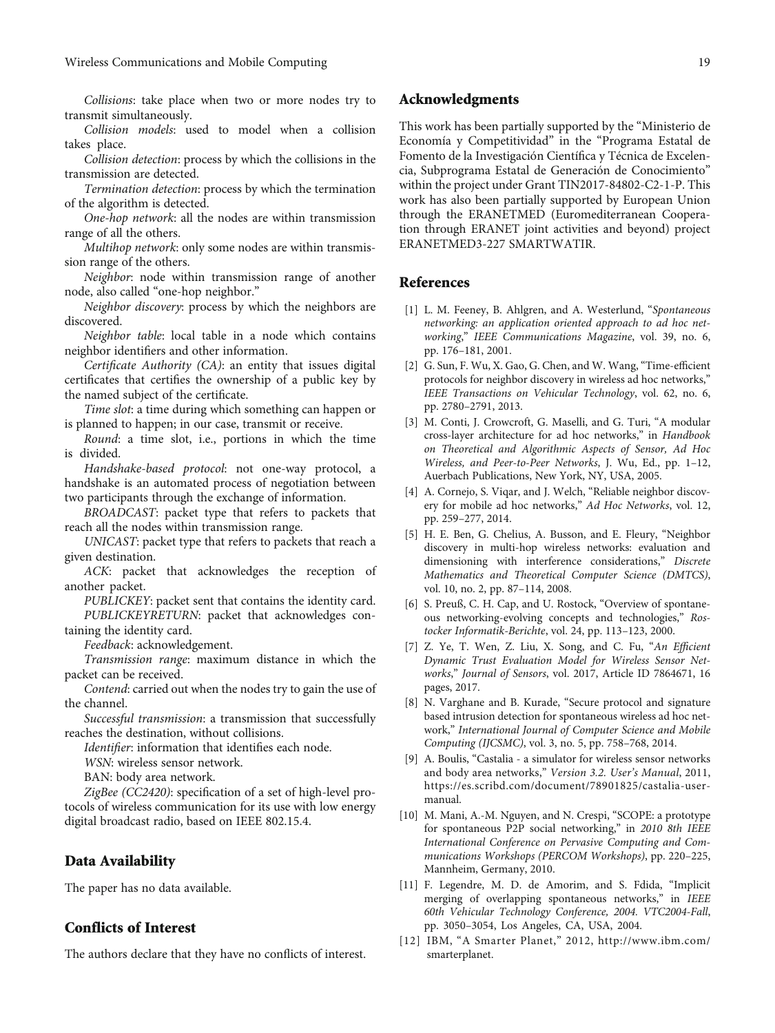<span id="page-18-0"></span>Collisions: take place when two or more nodes try to transmit simultaneously.

Collision models: used to model when a collision takes place.

Collision detection: process by which the collisions in the transmission are detected.

Termination detection: process by which the termination of the algorithm is detected.

One-hop network: all the nodes are within transmission range of all the others.

Multihop network: only some nodes are within transmission range of the others.

Neighbor: node within transmission range of another node, also called "one-hop neighbor."

Neighbor discovery: process by which the neighbors are discovered.

Neighbor table: local table in a node which contains neighbor identifiers and other information.

Certificate Authority (CA): an entity that issues digital certificates that certifies the ownership of a public key by the named subject of the certificate.

Time slot: a time during which something can happen or is planned to happen; in our case, transmit or receive.

Round: a time slot, i.e., portions in which the time is divided.

Handshake-based protocol: not one-way protocol, a handshake is an automated process of negotiation between two participants through the exchange of information.

BROADCAST: packet type that refers to packets that reach all the nodes within transmission range.

UNICAST: packet type that refers to packets that reach a given destination.

ACK: packet that acknowledges the reception of another packet.

PUBLICKEY: packet sent that contains the identity card. PUBLICKEYRETURN: packet that acknowledges containing the identity card.

Feedback: acknowledgement.

Transmission range: maximum distance in which the packet can be received.

Contend: carried out when the nodes try to gain the use of the channel.

Successful transmission: a transmission that successfully reaches the destination, without collisions.

Identifier: information that identifies each node.

WSN: wireless sensor network.

BAN: body area network.

ZigBee (CC2420): specification of a set of high-level protocols of wireless communication for its use with low energy digital broadcast radio, based on IEEE 802.15.4.

#### Data Availability

The paper has no data available.

#### Conflicts of Interest

The authors declare that they have no conflicts of interest.

#### Acknowledgments

This work has been partially supported by the "Ministerio de Economía y Competitividad" in the "Programa Estatal de Fomento de la Investigación Científica y Técnica de Excelencia, Subprograma Estatal de Generación de Conocimiento" within the project under Grant TIN2017-84802-C2-1-P. This work has also been partially supported by European Union through the ERANETMED (Euromediterranean Cooperation through ERANET joint activities and beyond) project ERANETMED3-227 SMARTWATIR.

## References

- [1] L. M. Feeney, B. Ahlgren, and A. Westerlund, "Spontaneous networking: an application oriented approach to ad hoc networking," IEEE Communications Magazine, vol. 39, no. 6, pp. 176–181, 2001.
- [2] G. Sun, F. Wu, X. Gao, G. Chen, and W. Wang, "Time-efficient protocols for neighbor discovery in wireless ad hoc networks," IEEE Transactions on Vehicular Technology, vol. 62, no. 6, pp. 2780–2791, 2013.
- [3] M. Conti, J. Crowcroft, G. Maselli, and G. Turi, "A modular cross-layer architecture for ad hoc networks," in Handbook on Theoretical and Algorithmic Aspects of Sensor, Ad Hoc Wireless, and Peer-to-Peer Networks, J. Wu, Ed., pp. 1–12, Auerbach Publications, New York, NY, USA, 2005.
- [4] A. Cornejo, S. Viqar, and J. Welch, "Reliable neighbor discovery for mobile ad hoc networks," Ad Hoc Networks, vol. 12, pp. 259–277, 2014.
- [5] H. E. Ben, G. Chelius, A. Busson, and E. Fleury, "Neighbor discovery in multi-hop wireless networks: evaluation and dimensioning with interference considerations," Discrete Mathematics and Theoretical Computer Science (DMTCS), vol. 10, no. 2, pp. 87–114, 2008.
- [6] S. Preuß, C. H. Cap, and U. Rostock, "Overview of spontaneous networking-evolving concepts and technologies," Rostocker Informatik-Berichte, vol. 24, pp. 113–123, 2000.
- [7] Z. Ye, T. Wen, Z. Liu, X. Song, and C. Fu, "An Efficient Dynamic Trust Evaluation Model for Wireless Sensor Networks," Journal of Sensors, vol. 2017, Article ID 7864671, 16 pages, 2017.
- [8] N. Varghane and B. Kurade, "Secure protocol and signature based intrusion detection for spontaneous wireless ad hoc network," International Journal of Computer Science and Mobile Computing (IJCSMC), vol. 3, no. 5, pp. 758–768, 2014.
- [9] A. Boulis, "Castalia a simulator for wireless sensor networks and body area networks," Version 3.2. User's Manual, 2011, [https://es.scribd.com/document/78901825/castalia-user](https://es.scribd.com/document/78901825/castalia-user-manual)[manual](https://es.scribd.com/document/78901825/castalia-user-manual).
- [10] M. Mani, A.-M. Nguyen, and N. Crespi, "SCOPE: a prototype for spontaneous P2P social networking," in 2010 8th IEEE International Conference on Pervasive Computing and Communications Workshops (PERCOM Workshops), pp. 220–225, Mannheim, Germany, 2010.
- [11] F. Legendre, M. D. de Amorim, and S. Fdida, "Implicit merging of overlapping spontaneous networks," in IEEE 60th Vehicular Technology Conference, 2004. VTC2004-Fall, pp. 3050–3054, Los Angeles, CA, USA, 2004.
- [12] IBM, "A Smarter Planet," 2012, [http://www.ibm.com/](http://www.ibm.com/smarterplanet) [smarterplanet](http://www.ibm.com/smarterplanet).